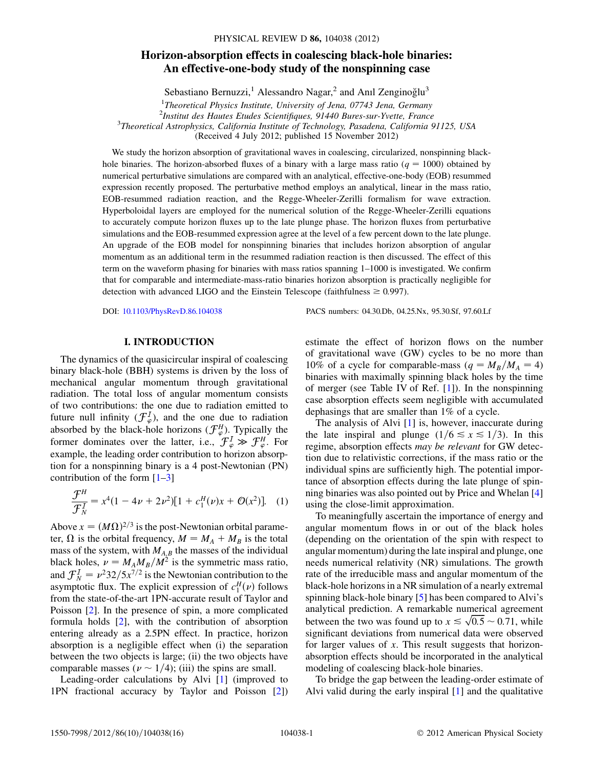# Horizon-absorption effects in coalescing black-hole binaries: An effective-one-body study of the nonspinning case

Sebastiano Bernuzzi,<sup>1</sup> Alessandro Nagar,<sup>2</sup> and Anıl Zenginoğlu<sup>3</sup>

<sup>1</sup>Theoretical Physics Institute, University of Jena, 07743 Jena, Germany

2 Institut des Hautes Etudes Scientifiques, 91440 Bures-sur-Yvette, France <sup>3</sup>

 $3$ Theoretical Astrophysics, California Institute of Technology, Pasadena, California 91125, USA

(Received 4 July 2012; published 15 November 2012)

We study the horizon absorption of gravitational waves in coalescing, circularized, nonspinning blackhole binaries. The horizon-absorbed fluxes of a binary with a large mass ratio ( $q = 1000$ ) obtained by numerical perturbative simulations are compared with an analytical, effective-one-body (EOB) resummed expression recently proposed. The perturbative method employs an analytical, linear in the mass ratio, EOB-resummed radiation reaction, and the Regge-Wheeler-Zerilli formalism for wave extraction. Hyperboloidal layers are employed for the numerical solution of the Regge-Wheeler-Zerilli equations to accurately compute horizon fluxes up to the late plunge phase. The horizon fluxes from perturbative simulations and the EOB-resummed expression agree at the level of a few percent down to the late plunge. An upgrade of the EOB model for nonspinning binaries that includes horizon absorption of angular momentum as an additional term in the resummed radiation reaction is then discussed. The effect of this term on the waveform phasing for binaries with mass ratios spanning 1–1000 is investigated. We confirm that for comparable and intermediate-mass-ratio binaries horizon absorption is practically negligible for detection with advanced LIGO and the Einstein Telescope (faithfulness  $\geq 0.997$ ).

DOI: [10.1103/PhysRevD.86.104038](http://dx.doi.org/10.1103/PhysRevD.86.104038) PACS numbers: 04.30.Db, 04.25.Nx, 95.30.Sf, 97.60.Lf

## I. INTRODUCTION

The dynamics of the quasicircular inspiral of coalescing binary black-hole (BBH) systems is driven by the loss of mechanical angular momentum through gravitational radiation. The total loss of angular momentum consists of two contributions: the one due to radiation emitted to future null infinity  $(\mathcal{F}_{\varphi}^{\mathcal{I}})$ , and the one due to radiation absorbed by the black-hole horizons ( $\mathcal{F}_{\varphi}^{H}$ ). Typically the former dominates over the latter, i.e.,  $\mathcal{F}_{\varphi}^I \gg \mathcal{F}_{\varphi}^H$ . For example, the leading order contribution to horizon absorption for a nonspinning binary is a 4 post-Newtonian (PN) contribution of the form  $[1-3]$  $[1-3]$  $[1-3]$ 

$$
\frac{\mathcal{F}^H}{\mathcal{F}_N^I} = x^4 (1 - 4\nu + 2\nu^2) [1 + c_1^H(\nu)x + \mathcal{O}(x^2)]. \quad (1)
$$

Above  $x = (M\Omega)^{2/3}$  is the post-Newtonian orbital parameter  $\Omega$  is the orbital frequency  $M = M_A + M_B$  is the total ter,  $\Omega$  is the orbital frequency,  $M = M_A + M_B$  is the total<br>mass of the system with  $M_{AB}$  the masses of the individual mass of the system, with  $M_{A,B}$  the masses of the individual black holes,  $\nu = M_A M_B/M^2$  is the symmetric mass ratio, and  $\mathcal{F}_N^I = \nu^2 32/5x^{7/2}$  is the Newtonian contribution to the asymptotic flux. The explicit expression of  $c^{H(\nu)}$  follows asymptotic flux. The explicit expression of  $c_1^H(v)$  follows<br>from the state-of-the-art 1PN-accurate result of Taylor and from the state-of-the-art 1PN-accurate result of Taylor and Poisson [[2\]](#page-14-2). In the presence of spin, a more complicated formula holds [\[2\]](#page-14-2), with the contribution of absorption entering already as a 2.5PN effect. In practice, horizon absorption is a negligible effect when (i) the separation between the two objects is large; (ii) the two objects have comparable masses ( $\nu \sim 1/4$ ); (iii) the spins are small.

Leading-order calculations by Alvi [\[1](#page-14-0)] (improved to 1PN fractional accuracy by Taylor and Poisson [[2](#page-14-2)]) estimate the effect of horizon flows on the number of gravitational wave (GW) cycles to be no more than 10% of a cycle for comparable-mass ( $q = M_B/M_A = 4$ ) binaries with maximally spinning black holes by the time of merger (see Table IV of Ref. [\[1\]](#page-14-0)). In the nonspinning case absorption effects seem negligible with accumulated dephasings that are smaller than 1% of a cycle.

The analysis of Alvi [[1](#page-14-0)] is, however, inaccurate during the late inspiral and plunge  $(1/6 \le x \le 1/3)$ . In this regime, absorption effects may be relevant for GW detection due to relativistic corrections, if the mass ratio or the individual spins are sufficiently high. The potential importance of absorption effects during the late plunge of spinning binaries was also pointed out by Price and Whelan [\[4\]](#page-14-3) using the close-limit approximation.

To meaningfully ascertain the importance of energy and angular momentum flows in or out of the black holes (depending on the orientation of the spin with respect to angular momentum) during the late inspiral and plunge, one needs numerical relativity (NR) simulations. The growth rate of the irreducible mass and angular momentum of the black-hole horizons in a NR simulation of a nearly extremal spinning black-hole binary [[5](#page-14-4)] has been compared to Alvi's analytical prediction. A remarkable numerical agreement between the two was found up to  $x \le \sqrt{0.5} \sim 0.71$ , while significant deviations from numerical data were observed significant deviations from numerical data were observed for larger values of x. This result suggests that horizonabsorption effects should be incorporated in the analytical modeling of coalescing black-hole binaries.

To bridge the gap between the leading-order estimate of Alvi valid during the early inspiral [[1\]](#page-14-0) and the qualitative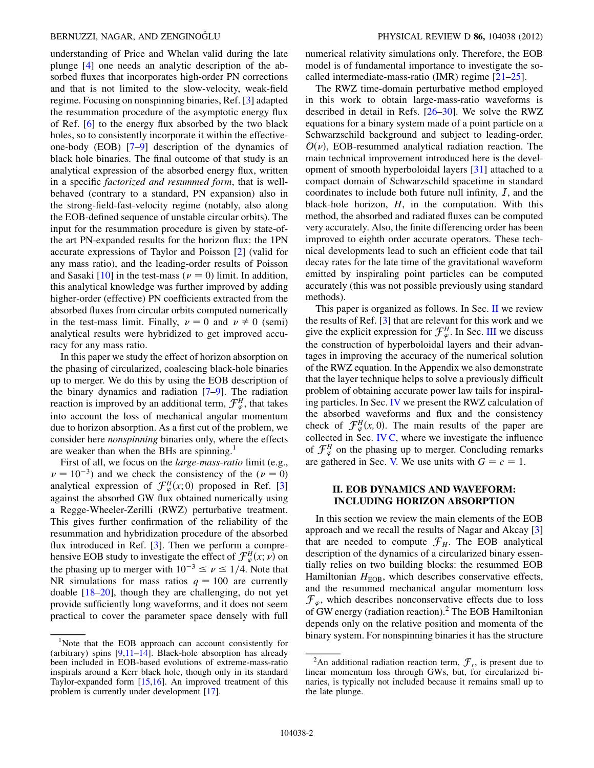understanding of Price and Whelan valid during the late plunge [\[4\]](#page-14-3) one needs an analytic description of the absorbed fluxes that incorporates high-order PN corrections and that is not limited to the slow-velocity, weak-field regime. Focusing on nonspinning binaries, Ref. [[3\]](#page-14-1) adapted the resummation procedure of the asymptotic energy flux of Ref. [\[6\]](#page-14-5) to the energy flux absorbed by the two black holes, so to consistently incorporate it within the effectiveone-body  $(EOB)$   $[7-9]$  $[7-9]$  $[7-9]$  description of the dynamics of black hole binaries. The final outcome of that study is an analytical expression of the absorbed energy flux, written in a specific factorized and resummed form, that is wellbehaved (contrary to a standard, PN expansion) also in the strong-field-fast-velocity regime (notably, also along the EOB-defined sequence of unstable circular orbits). The input for the resummation procedure is given by state-ofthe art PN-expanded results for the horizon flux: the 1PN accurate expressions of Taylor and Poisson [[2\]](#page-14-2) (valid for any mass ratio), and the leading-order results of Poisson and Sasaki  $[10]$  in the test-mass ( $\nu = 0$ ) limit. In addition, this analytical knowledge was further improved by adding higher-order (effective) PN coefficients extracted from the absorbed fluxes from circular orbits computed numerically in the test-mass limit. Finally,  $\nu = 0$  and  $\nu \neq 0$  (semi) analytical results were hybridized to get improved accuracy for any mass ratio.

In this paper we study the effect of horizon absorption on the phasing of circularized, coalescing black-hole binaries up to merger. We do this by using the EOB description of the binary dynamics and radiation [[7](#page-14-6)[–9\]](#page-14-7). The radiation reaction is improved by an additional term,  $\mathcal{F}_{\varphi}^H$ , that takes into account the loss of mechanical angular momentum due to horizon absorption. As a first cut of the problem, we consider here nonspinning binaries only, where the effects are weaker than when the BHs are spinning.<sup>1</sup>

First of all, we focus on the *large-mass-ratio* limit (e.g.,  $\nu = 10^{-3}$ ) and we check the consistency of the ( $\nu = 0$ ) analytical expression of  $\mathcal{F}_{\varphi}^{H}(x;0)$  proposed in Ref. [\[3\]](#page-14-1) against the absorbed GW flux obtained numerically using a Regge-Wheeler-Zerilli (RWZ) perturbative treatment. This gives further confirmation of the reliability of the resummation and hybridization procedure of the absorbed flux introduced in Ref. [[3\]](#page-14-1). Then we perform a comprehensive EOB study to investigate the effect of  $\mathcal{F}^H_{\varphi}(x; \nu)$  on the phasing up to merger with  $10^{-3} \leq \nu \leq 1/4$ . Note that the phasing up to merger with  $10^{-3} \le \nu \le 1/4$ . Note that NR simulations for mass ratios  $q = 100$  are currently doable [[18](#page-14-9)[–20\]](#page-14-10), though they are challenging, do not yet provide sufficiently long waveforms, and it does not seem practical to cover the parameter space densely with full numerical relativity simulations only. Therefore, the EOB model is of fundamental importance to investigate the socalled intermediate-mass-ratio (IMR) regime [\[21–](#page-14-11)[25](#page-14-12)].

The RWZ time-domain perturbative method employed in this work to obtain large-mass-ratio waveforms is described in detail in Refs. [\[26–](#page-14-13)[30](#page-14-14)]. We solve the RWZ equations for a binary system made of a point particle on a Schwarzschild background and subject to leading-order,  $\mathcal{O}(\nu)$ , EOB-resummed analytical radiation reaction. The main technical improvement introduced here is the development of smooth hyperboloidal layers [[31](#page-14-15)] attached to a compact domain of Schwarzschild spacetime in standard coordinates to include both future null infinity,  $I$ , and the black-hole horizon,  $H$ , in the computation. With this method, the absorbed and radiated fluxes can be computed very accurately. Also, the finite differencing order has been improved to eighth order accurate operators. These technical developments lead to such an efficient code that tail decay rates for the late time of the gravitational waveform emitted by inspiraling point particles can be computed accurately (this was not possible previously using standard methods).

This paper is organized as follows. In Sec. [II](#page-1-0) we review the results of Ref. [\[3\]](#page-14-1) that are relevant for this work and we give the explicit expression for  $\mathcal{F}_{\varphi}^H$ . In Sec. [III](#page-4-0) we discuss the construction of hyperboloidal layers and their advantages in improving the accuracy of the numerical solution of the RWZ equation. In the Appendix we also demonstrate that the layer technique helps to solve a previously difficult problem of obtaining accurate power law tails for inspiraling particles. In Sec. [IV](#page-6-0) we present the RWZ calculation of the absorbed waveforms and flux and the consistency check of  $\mathcal{F}_{\varphi}^{H}(x, 0)$ . The main results of the paper are collected in Sec. IVC, where we investigate the influence collected in Sec. [IV C,](#page-8-0) where we investigate the influence of  $\mathcal{F}_{\varphi}^{H}$  on the phasing up to merger. Concluding remarks are gathered in Sec. [V.](#page-11-0) We use units with  $G = c = 1$ .

## II. EOB DYNAMICS AND WAVEFORM: INCLUDING HORIZON ABSORPTION

<span id="page-1-0"></span>In this section we review the main elements of the EOB approach and we recall the results of Nagar and Akcay [\[3\]](#page-14-1) that are needed to compute  $\mathcal{F}_H$ . The EOB analytical description of the dynamics of a circularized binary essentially relies on two building blocks: the resummed EOB Hamiltonian  $H_{\text{EOB}}$ , which describes conservative effects, and the resummed mechanical angular momentum loss  $\mathcal{F}_{\varphi}$ , which describes nonconservative effects due to loss of GW energy (radiation reaction).2 The EOB Hamiltonian depends only on the relative position and momenta of the binary system. For nonspinning binaries it has the structure

<sup>&</sup>lt;sup>1</sup>Note that the EOB approach can account consistently for (arbitrary) spins  $[9,11-14]$  $[9,11-14]$  $[9,11-14]$  $[9,11-14]$ . Black-hole absorption has already been included in EOB-based evolutions of extreme-mass-ratio inspirals around a Kerr black hole, though only in its standard Taylor-expanded form [\[15](#page-14-18)[,16\]](#page-14-19). An improved treatment of this problem is currently under development [[17](#page-14-20)].

<sup>&</sup>lt;sup>2</sup>An additional radiation reaction term,  $\mathcal{F}_r$ , is present due to linear momentum loss through GWs, but, for circularized binaries, is typically not included because it remains small up to the late plunge.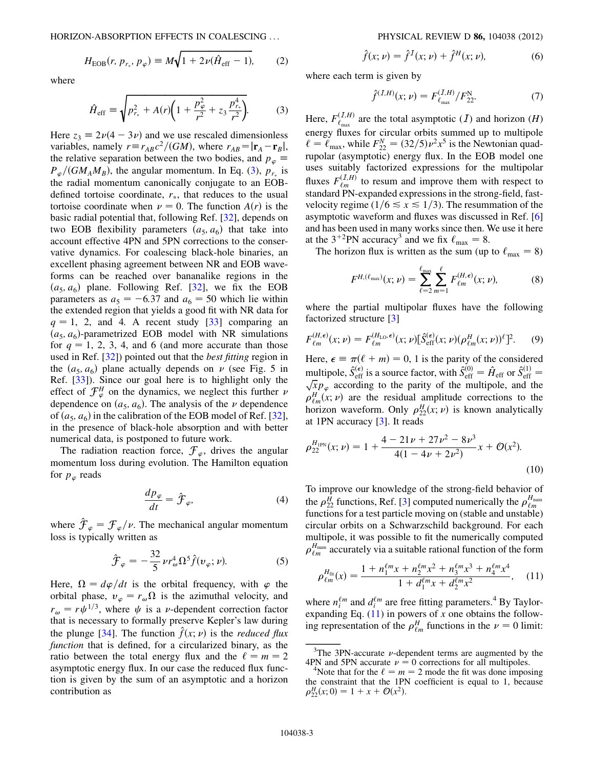$$
H_{\rm EOB}(r, p_{r_*}, p_{\varphi}) \equiv M \sqrt{1 + 2\nu(\hat{H}_{\rm eff} - 1)},
$$
 (2)

<span id="page-2-0"></span>where

$$
\hat{H}_{\text{eff}} = \sqrt{p_{r_*}^2 + A(r)\left(1 + \frac{p_{\varphi}^2}{r^2} + z_3 \frac{p_{r_*}^4}{r^2}\right)}.
$$
 (3)

Here  $z_3 = 2\nu(4 - 3\nu)$  and we use rescaled dimensionless variables, namely  $r \equiv r_{AB}c^2/(GM)$ , where  $r_{AB} = |\mathbf{r}_A - \mathbf{r}_B|$ , the relative separation between the two bodies, and  $p_{\varphi}$  $P_{\varphi}/(GM_AM_B)$ , the angular momentum. In Eq. [\(3\)](#page-2-0),  $p_{r_*}$  is the radial momentum canonically conjugate to an EOBdefined tortoise coordinate,  $r_{\ast}$ , that reduces to the usual tortoise coordinate when  $\nu = 0$ . The function  $A(r)$  is the basic radial potential that, following Ref. [\[32\]](#page-14-21), depends on two EOB flexibility parameters  $(a_5, a_6)$  that take into account effective 4PN and 5PN corrections to the conservative dynamics. For coalescing black-hole binaries, an excellent phasing agreement between NR and EOB waveforms can be reached over bananalike regions in the  $(a_5, a_6)$  plane. Following Ref. [[32](#page-14-21)], we fix the EOB parameters as  $a_5 = -6.37$  and  $a_6 = 50$  which lie within the extended region that yields a good fit with NR data for  $q = 1$ , 2, and 4. A recent study [\[33\]](#page-14-22) comparing an  $(a_5, a_6)$ -parametrized EOB model with NR simulations for  $q = 1, 2, 3, 4$ , and 6 (and more accurate than those used in Ref. [[32\]](#page-14-21)) pointed out that the *best fitting* region in the  $(a_5, a_6)$  plane actually depends on  $\nu$  (see Fig. 5 in Ref. [[33](#page-14-22)]). Since our goal here is to highlight only the effect of  $\mathcal{F}_{\varphi}^{H}$  on the dynamics, we neglect this further  $\nu$ dependence on  $(a_5, a_6)$ . The analysis of the  $\nu$  dependence of  $(a_5, a_6)$  in the calibration of the EOB model of Ref. [[32\]](#page-14-21), in the presence of black-hole absorption and with better numerical data, is postponed to future work.

The radiation reaction force,  $\mathcal{F}_{\varphi}$ , drives the angular momentum loss during evolution. The Hamilton equation for  $p_{\varphi}$  reads

$$
\frac{dp_{\varphi}}{dt} = \hat{\mathcal{F}}_{\varphi},\tag{4}
$$

where  $\mathcal{F}_{\varphi} = \mathcal{F}_{\varphi}/\nu$ . The mechanical angular momentum loss is typically written as

$$
\hat{\mathcal{F}}_{\varphi} = -\frac{32}{5} \nu r_{\omega}^4 \Omega^5 \hat{f}(\nu_{\varphi}; \nu). \tag{5}
$$

Here,  $\Omega = d\varphi/dt$  is the orbital frequency, with  $\varphi$  the orbital phase  $y = r \Omega$  is the azimuthal velocity and orbital phase,  $v_{\varphi} = r_{\omega} \Omega$  is the azimuthal velocity, and<br>  $r_{\perp} = r v h^{1/3}$  where  $v'_{\perp}$  is a *y* dependent correction feature  $r_{\omega} = r\psi^{1/3}$ , where  $\psi$  is a *v*-dependent correction factor that is necessary to formally preserve Kepler's law during the plunge [[34](#page-14-23)]. The function  $\hat{f}(x; \nu)$  is the *reduced flux* function that is defined, for a circularized binary, as the ratio between the total energy flux and the  $\ell = m = 2$ asymptotic energy flux. In our case the reduced flux function is given by the sum of an asymptotic and a horizon contribution as

$$
\hat{f}(x; \nu) = \hat{f}^{I}(x; \nu) + \hat{f}^{H}(x; \nu),
$$
\n(6)

<span id="page-2-3"></span>where each term is given by

$$
\hat{f}^{(I,H)}(x;\nu) = F_{\ell_{\text{max}}}^{(I,H)}/F_{22}^{\text{N}}.
$$
 (7)

Here,  $F_{\ell_{\text{max}}}^{(I,H)}$  are the total asymptotic  $(I)$  and horizon  $(H)$ energy fluxes for circular orbits summed up to multipole  $\ell = \ell_{\text{max}}$ , while  $F_{22}^N = (32/5)\nu^2 x^5$  is the Newtonian quad-<br>rupolar (asymptotic) energy flux. In the EOB model one rupolar (asymptotic) energy flux. In the EOB model one uses suitably factorized expressions for the multipolar fluxes  $F_{\ell m}^{(I,H)}$  to resum and improve them with respect to standard PN-expanded expressions in the strong-field, fastvelocity regime ( $1/6 \le x \le 1/3$ ). The resummation of the asymptotic waveform and fluxes was discussed in Ref. [\[6\]](#page-14-5) and has been used in many works since then. We use it here at the  $3^{+2}$ PN accuracy<sup>3</sup> and we fix  $\ell_{\text{max}} = 8$ .

The horizon flux is written as the sum (up to  $\ell_{\text{max}} = 8$ )

$$
F^{H, (\ell_{\max})}(x; \nu) = \sum_{\ell=2}^{\ell_{\max}} \sum_{m=1}^{\ell} F_{\ell m}^{(H, \epsilon)}(x; \nu), \tag{8}
$$

where the partial multipolar fluxes have the following factorized structure [\[3](#page-14-1)]

<span id="page-2-4"></span>
$$
F_{\ell m}^{(H,\epsilon)}(x;\nu) = F_{\ell m}^{(H_{\text{LO}},\epsilon)}(x;\nu) [\hat{S}_{\text{eff}}^{(\epsilon)}(x;\nu) (\rho_{\ell m}^H(x;\nu))^{\ell}]^2. \tag{9}
$$

Here,  $\epsilon = \pi(\ell + m) = 0, 1$  is the parity of the considered<br>multipologies is a source feator with  $\hat{\xi}^{(0)} - \hat{H}$  or  $\hat{\xi}^{(1)}$ multipole,  $\hat{S}^{(\epsilon)}_{\text{eff}}$  is a source factor, with  $\hat{S}^{(0)}_{\text{eff}} = \hat{H}_{\text{eff}}$  or  $\hat{S}^{(1)}_{\text{eff}} = \sqrt{x}p_{\varphi}$  according to the parity of the multipole, and the  $\rho_{\ell m}^H(x;\nu)$  are the residual amplitude corrections to the<br>horizon waveform Only  $\rho^H(x;\nu)$  is known analytically horizon waveform. Only  $\rho_{22}^H(x; \nu)$  is known analytically<br>at 1PN accuracy [3] It reads at 1PN accuracy [[3](#page-14-1)]. It reads

<span id="page-2-2"></span>
$$
\rho_{22}^{H_{\rm 1PN}}(x;\nu) = 1 + \frac{4 - 21\nu + 27\nu^2 - 8\nu^3}{4(1 - 4\nu + 2\nu^2)}x + \mathcal{O}(x^2).
$$
\n(10)

To improve our knowledge of the strong-field behavior of the  $\rho_{22}^H$  functions, Ref. [[3\]](#page-14-1) computed numerically the  $\rho_{\ell m}^H$ functions for a test particle moving on (stable and unstable) circular orbits on a Schwarzschild background. For each multipole, it was possible to fit the numerically computed  $\rho_{\ell m}^{H_{\text{num}}}$  accurately via a suitable rational function of the form

<span id="page-2-1"></span>
$$
\rho_{\ell m}^{H_{\text{fit}}}(x) = \frac{1 + n_1^{\ell m} x + n_2^{\ell m} x^2 + n_3^{\ell m} x^3 + n_4^{\ell m} x^4}{1 + d_1^{\ell m} x + d_2^{\ell m} x^2},\tag{11}
$$

where  $n_i^{lm}$  and  $d_i^{lm}$  are free fitting parameters.<sup>4</sup> By Taylorexpanding Eq.  $(11)$  in powers of x one obtains the following representation of the  $\rho_{\ell m}^H$  functions in the  $\nu = 0$  limit:

<sup>&</sup>lt;sup>3</sup>The 3PN-accurate  $\nu$ -dependent terms are augmented by the 4PN and 5PN accurate  $\nu = 0$  corrections for all multipoles.

<sup>&</sup>lt;sup>4</sup>Note that for the  $\ell = m = 2$  mode the fit was done imposing the constraint that the 1PN coefficient is equal to 1, because  $\rho_{22}^H(x;0) = 1 + x + \mathcal{O}(x^2).$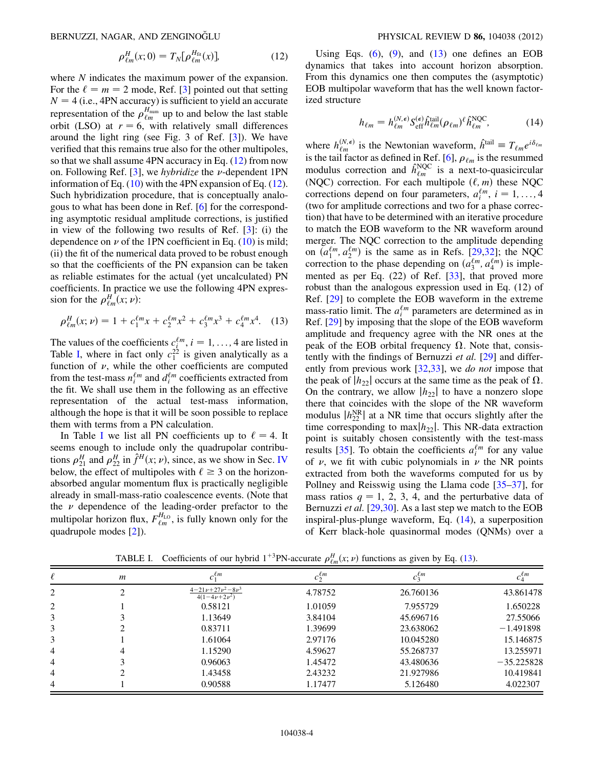$$
\rho_{\ell m}^H(x;0) = T_N[\rho_{\ell m}^{H_{\rm fit}}(x)],\tag{12}
$$

<span id="page-3-0"></span>where N indicates the maximum power of the expansion. For the  $\ell = m = 2$  mode, Ref. [\[3](#page-14-1)] pointed out that setting  $N = 4$  (i.e., 4PN accuracy) is sufficient to yield an accurate representation of the  $\rho_{\ell m}^{H_{\text{num}}^{\text{num}}}$  up to and below the last stable orbit (LSO) at  $r = 6$ , with relatively small differences around the light ring (see Fig. 3 of Ref. [[3\]](#page-14-1)). We have verified that this remains true also for the other multipoles, so that we shall assume 4PN accuracy in Eq. ([12](#page-3-0)) from now on. Following Ref. [\[3](#page-14-1)], we *hybridize* the  $\nu$ -dependent 1PN information of Eq.  $(10)$  $(10)$  $(10)$  with the 4PN expansion of Eq.  $(12)$  $(12)$ . Such hybridization procedure, that is conceptually analogous to what has been done in Ref. [\[6](#page-14-5)] for the corresponding asymptotic residual amplitude corrections, is justified in view of the following two results of Ref. [[3](#page-14-1)]: (i) the dependence on  $\nu$  of the 1PN coefficient in Eq. [\(10\)](#page-2-2) is mild; (ii) the fit of the numerical data proved to be robust enough so that the coefficients of the PN expansion can be taken as reliable estimates for the actual (yet uncalculated) PN coefficients. In practice we use the following 4PN expression for the  $\rho_{\ell m}^{H^{\bullet}}(x;\nu)$ :

<span id="page-3-2"></span>
$$
\rho_{\ell m}^H(x;\nu) = 1 + c_1^{\ell m} x + c_2^{\ell m} x^2 + c_3^{\ell m} x^3 + c_4^{\ell m} x^4. \tag{13}
$$

The values of the coefficients  $c_i^{lm}$ ,  $i = 1, ..., 4$  are listed in<br>Table L where in fact only  $c_i^{22}$  is given analytically as a Table [I](#page-3-1), where in fact only  $c_1^{2^2}$  is given analytically as a function of  $\nu$ , while the other coefficients are computed from the test-mass  $n_i^{\ell m}$  and  $d_i^{\ell m}$  coefficients extracted from the fit. We shall use them in the following as an effective representation of the actual test-mass information, although the hope is that it will be soon possible to replace them with terms from a PN calculation.

[I](#page-3-1)n Table I we list all PN coefficients up to  $\ell = 4$ . It seems enough to include only the quadrupolar contributions  $\rho_{21}^H$  and  $\rho_{22}^H$  in  $\hat{f}^H(x; \nu)$ , since, as we show in Sec. [IV](#page-6-0)<br>below, the effect of multipoles with  $\ell \geq 3$  on the horizonbelow, the effect of multipoles with  $\ell \geq 3$  on the horizonabsorbed angular momentum flux is practically negligible already in small-mass-ratio coalescence events. (Note that the  $\nu$  dependence of the leading-order prefactor to the multipolar horizon flux,  $F_{\ell m}^{H_{\text{LO}}}$ , is fully known only for the quadrupole modes [[2](#page-14-2)]).

Using Eqs.  $(6)$  $(6)$ ,  $(9)$  $(9)$  $(9)$ , and  $(13)$  $(13)$  $(13)$  one defines an EOB dynamics that takes into account horizon absorption. From this dynamics one then computes the (asymptotic) EOB multipolar waveform that has the well known factorized structure

$$
h_{\ell m} = h_{\ell m}^{(N,\epsilon)} S_{\text{eff}}^{(\epsilon)} \hat{h}_{\ell m}^{\text{tail}} (\rho_{\ell m})^{\ell} \hat{h}_{\ell m}^{\text{NQC}}, \tag{14}
$$

<span id="page-3-3"></span>where  $h_{\ell m}^{(N,\epsilon)}$  is the Newtonian waveform,  $\hat{h}^{\text{tail}} \equiv T_{\ell m} e^{i\delta_{\ell m}}$ is the tail factor as defined in Ref. [[6](#page-14-5)],  $\rho_{\ell m}$  is the resummed modulus correction and  $\hat{h}^{\text{NQC}}_{\ell m}$  is a next-to-quasicircular (NQC) correction. For each multipole  $(\ell, m)$  these NQC corrections depend on four parameters,  $a_i^{lm}$ ,  $i = 1, ..., 4$ <br>(two for amplitude corrections and two for a phase correc-(two for amplitude corrections and two for a phase correction) that have to be determined with an iterative procedure to match the EOB waveform to the NR waveform around merger. The NQC correction to the amplitude depending on  $(a_1^{\ell m}, a_2^{\ell m})$  is the same as in Refs. [\[29,](#page-14-24)[32](#page-14-21)]; the NQC<br>correction to the phase depending on  $(a_1^{\ell m}, a_2^{\ell m})$  is implecorrection to the phase depending on  $(a_3^{\ell m}, a_4^{\ell m})$  is imple-<br>mented as per Eq. (22) of Ref. [33], that proved more mented as per Eq. (22) of Ref. [[33](#page-14-22)], that proved more robust than the analogous expression used in Eq. (12) of Ref. [[29](#page-14-24)] to complete the EOB waveform in the extreme mass-ratio limit. The  $a_i^{\ell m}$  parameters are determined as in Ref. [[29](#page-14-24)] by imposing that the slope of the EOB waveform amplitude and frequency agree with the NR ones at the peak of the EOB orbital frequency  $\Omega$ . Note that, consis-tently with the findings of Bernuzzi et al. [\[29\]](#page-14-24) and differently from previous work  $[32,33]$  $[32,33]$ , we *do not* impose that the peak of  $\hat{h}_{22}$  occurs at the same time as the peak of  $\Omega$ .<br>On the contrary we allow  $\hat{h}_{\text{rel}}$  to have a nonzero slope On the contrary, we allow  $|h_{22}|$  to have a nonzero slope there that coincides with the slope of the NR waveform modulus  $|h_{22}^{NR}|$  at a NR time that occurs slightly after the time corresponding to  $max|h_{eq}|$ . This NR-data extraction time corresponding to max $|h_{22}|$ . This NR-data extraction point is suitably chosen consistently with the test-mass results [[35\]](#page-14-25). To obtain the coefficients  $a_i^{lm}$  for any value of  $\nu$ , we fit with cubic polynomials in  $\nu$  the NR points extracted from both the waveforms computed for us by Pollney and Reisswig using the Llama code [[35](#page-14-25)–[37](#page-14-26)], for mass ratios  $q = 1, 2, 3, 4$ , and the perturbative data of Bernuzzi *et al.* [[29](#page-14-24),[30](#page-14-14)]. As a last step we match to the EOB inspiral-plus-plunge waveform, Eq. [\(14\)](#page-3-3), a superposition of Kerr black-hole quasinormal modes (QNMs) over a

<span id="page-3-1"></span>

| ℓ<br>$\boldsymbol{m}$ |  | $\epsilon^{lm}$<br>ι.                                | $\epsilon^{lm}$<br>$\mathfrak{c}_2$ | $c_3^{\ell m}$ | $c_4^{\ell m}$ |  |
|-----------------------|--|------------------------------------------------------|-------------------------------------|----------------|----------------|--|
| 2                     |  | $4 - 21\nu + 27\nu^2 - 8\nu^3$<br>$4(1-4\nu+2\nu^2)$ | 4.78752                             | 26.760136      | 43.861478      |  |
| 2                     |  | 0.58121                                              | 1.01059                             | 7.955729       | 1.650228       |  |
| 3                     |  | 1.13649                                              | 3.84104                             | 45.696716      | 27.55066       |  |
| 3                     |  | 0.83711                                              | 1.39699                             | 23.638062      | $-1.491898$    |  |
| 3                     |  | 1.61064                                              | 2.97176                             | 10.045280      | 15.146875      |  |
| 4                     |  | 1.15290                                              | 4.59627                             | 55.268737      | 13.255971      |  |
| 4                     |  | 0.96063                                              | 1.45472                             | 43.480636      | $-35.225828$   |  |
| 4                     |  | 1.43458                                              | 2.43232                             | 21.927986      | 10.419841      |  |
| 4                     |  | 0.90588                                              | 1.17477                             | 5.126480       | 4.022307       |  |

TABLE I. Coefficients of our hybrid  $1^{+3}$ PN-accurate  $\rho_{\ell m}^H(x; \nu)$  functions as given by Eq. ([13](#page-3-2)).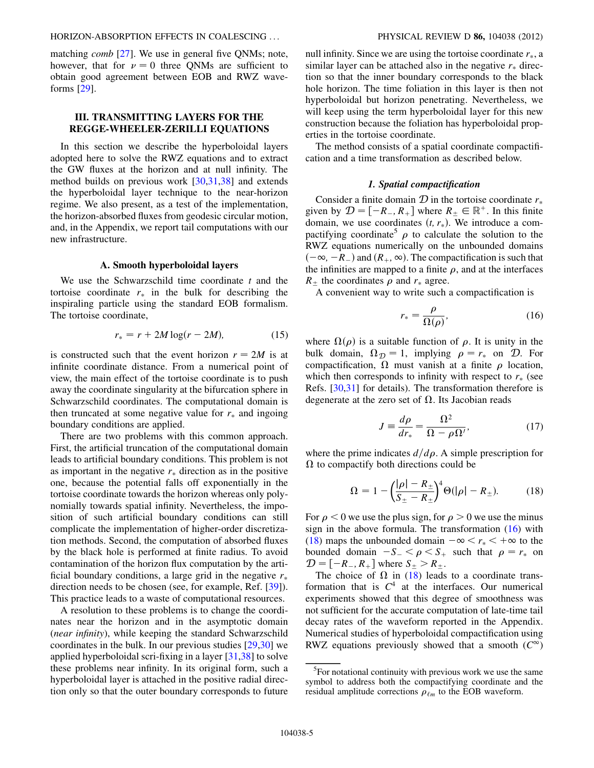matching *comb* [[27](#page-14-27)]. We use in general five QNMs; note, however, that for  $v = 0$  three ONMs are sufficient to obtain good agreement between EOB and RWZ waveforms [[29](#page-14-24)].

## <span id="page-4-0"></span>III. TRANSMITTING LAYERS FOR THE REGGE-WHEELER-ZERILLI EQUATIONS

In this section we describe the hyperboloidal layers adopted here to solve the RWZ equations and to extract the GW fluxes at the horizon and at null infinity. The method builds on previous work [\[30](#page-14-14)[,31,](#page-14-15)[38\]](#page-14-28) and extends the hyperboloidal layer technique to the near-horizon regime. We also present, as a test of the implementation, the horizon-absorbed fluxes from geodesic circular motion, and, in the Appendix, we report tail computations with our new infrastructure.

#### A. Smooth hyperboloidal layers

We use the Schwarzschild time coordinate  $t$  and the tortoise coordinate  $r_*$  in the bulk for describing the inspiraling particle using the standard EOB formalism. The tortoise coordinate,

$$
r_* = r + 2M \log(r - 2M),
$$
 (15)

is constructed such that the event horizon  $r = 2M$  is at infinite coordinate distance. From a numerical point of view, the main effect of the tortoise coordinate is to push away the coordinate singularity at the bifurcation sphere in Schwarzschild coordinates. The computational domain is then truncated at some negative value for  $r_*$  and ingoing boundary conditions are applied.

There are two problems with this common approach. First, the artificial truncation of the computational domain leads to artificial boundary conditions. This problem is not as important in the negative  $r_*$  direction as in the positive one, because the potential falls off exponentially in the tortoise coordinate towards the horizon whereas only polynomially towards spatial infinity. Nevertheless, the imposition of such artificial boundary conditions can still complicate the implementation of higher-order discretization methods. Second, the computation of absorbed fluxes by the black hole is performed at finite radius. To avoid contamination of the horizon flux computation by the artificial boundary conditions, a large grid in the negative  $r_*$ direction needs to be chosen (see, for example, Ref. [\[39](#page-14-29)]). This practice leads to a waste of computational resources.

A resolution to these problems is to change the coordinates near the horizon and in the asymptotic domain (near infinity), while keeping the standard Schwarzschild coordinates in the bulk. In our previous studies [\[29,](#page-14-24)[30\]](#page-14-14) we applied hyperboloidal scri-fixing in a layer  $[31,38]$  $[31,38]$  to solve these problems near infinity. In its original form, such a hyperboloidal layer is attached in the positive radial direction only so that the outer boundary corresponds to future null infinity. Since we are using the tortoise coordinate  $r_{*}$ , a similar layer can be attached also in the negative  $r_*$  direction so that the inner boundary corresponds to the black hole horizon. The time foliation in this layer is then not hyperboloidal but horizon penetrating. Nevertheless, we will keep using the term hyperboloidal layer for this new construction because the foliation has hyperboloidal properties in the tortoise coordinate.

The method consists of a spatial coordinate compactification and a time transformation as described below.

#### 1. Spatial compactification

Consider a finite domain  $\mathcal D$  in the tortoise coordinate  $r_*$ given by  $\mathcal{D} = [-R_-, R_+]$  where  $R_{\pm} \in \mathbb{R}^+$ . In this finite domain, we use coordinates  $(t, r_*)$ . We introduce a compactifying coordinate<sup>5</sup>  $\rho$  to calculate the solution to the RWZ equations numerically on the unbounded domains  $(-\infty, -R_{-})$  and  $(R_{+}, \infty)$ . The compactification is such that the infinities are mapped to a finite  $\rho$ , and at the interfaces  $R_{\pm}$  the coordinates  $\rho$  and  $r_*$  agree.

<span id="page-4-1"></span>A convenient way to write such a compactification is

$$
r_* = \frac{\rho}{\Omega(\rho)},\tag{16}
$$

where  $\Omega(\rho)$  is a suitable function of  $\rho$ . It is unity in the bulk domain  $\Omega_{\mathcal{D}} = 1$  implying  $\rho = r_0$  on  $\mathcal{D}$  For bulk domain,  $\Omega_{\mathcal{D}} = 1$ , implying  $\rho = r_*$  on  $\mathcal{D}$ . For compactification,  $\Omega$  must vanish at a finite  $\rho$  location, which then corresponds to infinity with respect to  $r_*$  (see Refs. [[30](#page-14-14),[31](#page-14-15)] for details). The transformation therefore is degenerate at the zero set of  $\Omega$ . Its Jacobian reads

$$
J \equiv \frac{d\rho}{dr_*} = \frac{\Omega^2}{\Omega - \rho \Omega'},\tag{17}
$$

<span id="page-4-2"></span>where the prime indicates  $d/d\rho$ . A simple prescription for  $\Omega$  to compactify both directions could be

$$
\Omega = 1 - \left(\frac{|\rho| - R_{\pm}}{S_{\pm} - R_{\pm}}\right)^4 \Theta(|\rho| - R_{\pm}).
$$
 (18)

For  $\rho < 0$  we use the plus sign, for  $\rho > 0$  we use the minus sign in the above formula. The transformation  $(16)$  $(16)$  with [\(18\)](#page-4-2) maps the unbounded domain  $-\infty < r_* < +\infty$  to the bounded domain  $-S_- < \rho < S_+$  such that  $\rho = r_*$  on  $\mathcal{D} = [-R_-, R_+]$  where  $S_{\pm} > R_{\pm}$ .

The choice of  $\Omega$  in ([18](#page-4-2)) leads to a coordinate transformation that is  $C<sup>4</sup>$  at the interfaces. Our numerical experiments showed that this degree of smoothness was not sufficient for the accurate computation of late-time tail decay rates of the waveform reported in the Appendix. Numerical studies of hyperboloidal compactification using RWZ equations previously showed that a smooth  $(C^{\infty})$ 

<sup>&</sup>lt;sup>5</sup>For notational continuity with previous work we use the same symbol to address both the compactifying coordinate and the residual amplitude corrections  $\rho_{\ell m}$  to the EOB waveform.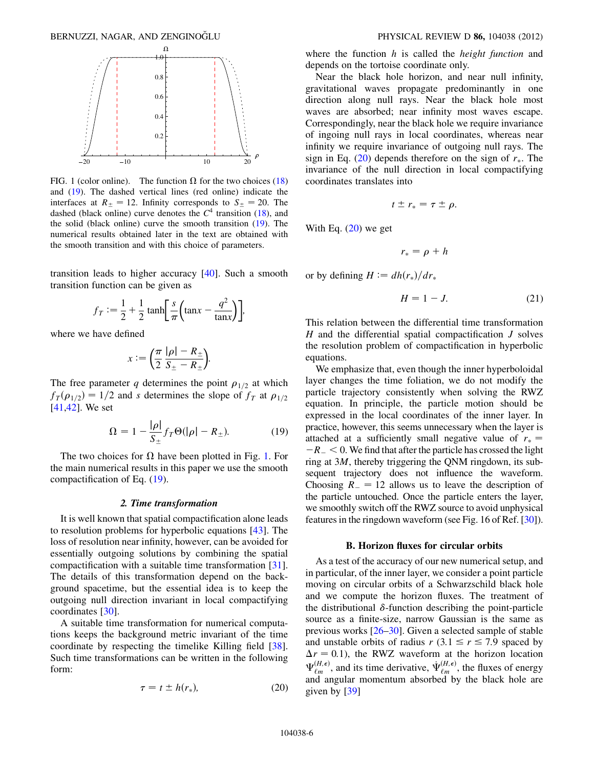<span id="page-5-0"></span>

FIG. 1 (color online). The function  $\Omega$  for the two choices [\(18\)](#page-4-2) and [\(19\)](#page-5-1). The dashed vertical lines (red online) indicate the interfaces at  $R_{\pm} = 12$ . Infinity corresponds to  $S_{\pm} = 20$ . The dashed (black online) curve denotes the  $C<sup>4</sup>$  transition [\(18\)](#page-4-2), and the solid (black online) curve the smooth transition [\(19\)](#page-5-1). The numerical results obtained later in the text are obtained with the smooth transition and with this choice of parameters.

transition leads to higher accuracy [[40](#page-14-30)]. Such a smooth transition function can be given as

$$
f_T := \frac{1}{2} + \frac{1}{2} \tanh\left[\frac{s}{\pi} \left(\tan x - \frac{q^2}{\tan x}\right)\right],
$$

where we have defined

$$
x := \left(\frac{\pi}{2} \frac{|\rho| - R_{\pm}}{S_{\pm} - R_{\pm}}\right).
$$

<span id="page-5-1"></span>The free parameter q determines the point  $\rho_{1/2}$  at which  $f_T(\rho_{1/2})=1/2$  and s determines the slope of  $f_T$  at  $\rho_{1/2}$ [\[41](#page-14-31)[,42\]](#page-14-32). We set

$$
\Omega = 1 - \frac{|\rho|}{S_{\pm}} f_T \Theta(|\rho| - R_{\pm}). \tag{19}
$$

The two choices for  $\Omega$  have been plotted in Fig. [1.](#page-5-0) For the main numerical results in this paper we use the smooth compactification of Eq. [\(19\)](#page-5-1).

#### 2. Time transformation

It is well known that spatial compactification alone leads to resolution problems for hyperbolic equations [[43](#page-14-33)]. The loss of resolution near infinity, however, can be avoided for essentially outgoing solutions by combining the spatial compactification with a suitable time transformation [[31\]](#page-14-15). The details of this transformation depend on the background spacetime, but the essential idea is to keep the outgoing null direction invariant in local compactifying coordinates [[30](#page-14-14)].

<span id="page-5-2"></span>A suitable time transformation for numerical computations keeps the background metric invariant of the time coordinate by respecting the timelike Killing field [[38\]](#page-14-28). Such time transformations can be written in the following form:

$$
\tau = t \pm h(r_*), \tag{20}
$$

where the function  $h$  is called the *height function* and depends on the tortoise coordinate only.

Near the black hole horizon, and near null infinity, gravitational waves propagate predominantly in one direction along null rays. Near the black hole most waves are absorbed; near infinity most waves escape. Correspondingly, near the black hole we require invariance of ingoing null rays in local coordinates, whereas near infinity we require invariance of outgoing null rays. The sign in Eq. ([20](#page-5-2)) depends therefore on the sign of  $r_{\ast}$ . The invariance of the null direction in local compactifying coordinates translates into

$$
t\pm r_*=\tau\pm\rho.
$$

With Eq. [\(20\)](#page-5-2) we get

$$
r_*=\rho+h
$$

or by defining  $H := dh(r_*)/dr_*$ 

$$
H = 1 - J.\t(21)
$$

This relation between the differential time transformation  $H$  and the differential spatial compactification  $J$  solves the resolution problem of compactification in hyperbolic equations.

We emphasize that, even though the inner hyperboloidal layer changes the time foliation, we do not modify the particle trajectory consistently when solving the RWZ equation. In principle, the particle motion should be expressed in the local coordinates of the inner layer. In practice, however, this seems unnecessary when the layer is attached at a sufficiently small negative value of  $r_* =$  $-R_{-}$  < 0. We find that after the particle has crossed the light ring at 3M, thereby triggering the QNM ringdown, its subsequent trajectory does not influence the waveform. Choosing  $R_{-} = 12$  allows us to leave the description of the particle untouched. Once the particle enters the layer, we smoothly switch off the RWZ source to avoid unphysical features in the ringdown waveform (see Fig. 16 of Ref. [\[30\]](#page-14-14)).

#### B. Horizon fluxes for circular orbits

As a test of the accuracy of our new numerical setup, and in particular, of the inner layer, we consider a point particle moving on circular orbits of a Schwarzschild black hole and we compute the horizon fluxes. The treatment of the distributional  $\delta$ -function describing the point-particle source as a finite-size, narrow Gaussian is the same as previous works [\[26–](#page-14-13)[30](#page-14-14)]. Given a selected sample of stable and unstable orbits of radius  $r$  (3.1  $\leq r \leq 7.9$  spaced by  $\Delta r = 0.1$ , the RWZ waveform at the horizon location  $\Psi_{\ell m}^{(H,\epsilon)}$ , and its time derivative,  $\dot{\Psi}_{\ell m}^{(H,\epsilon)}$ , the fluxes of energy and angular momentum absorbed by the black hole are given by [[39](#page-14-29)]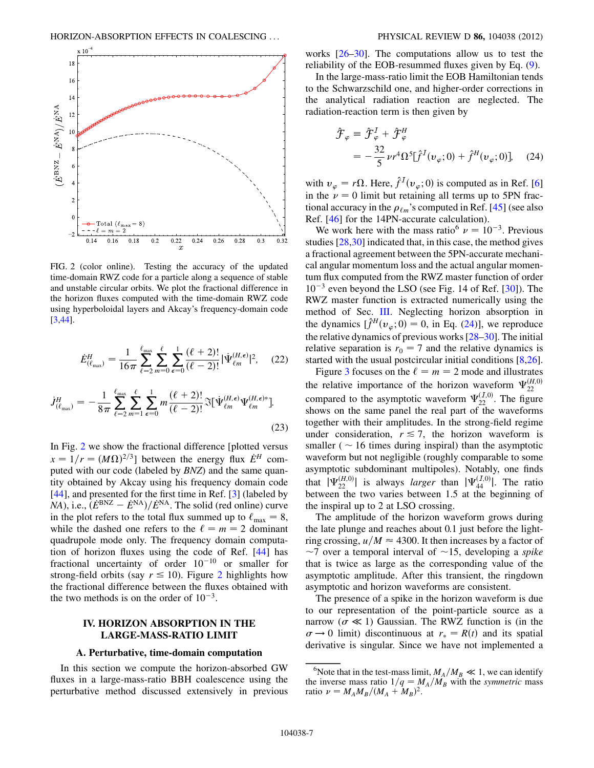<span id="page-6-1"></span>

FIG. 2 (color online). Testing the accuracy of the updated time-domain RWZ code for a particle along a sequence of stable and unstable circular orbits. We plot the fractional difference in the horizon fluxes computed with the time-domain RWZ code using hyperboloidal layers and Akcay's frequency-domain code [\[3,](#page-14-1)[44\]](#page-14-34).

<span id="page-6-3"></span>
$$
\dot{E}_{(\ell_{\text{max}})}^H = \frac{1}{16\pi} \sum_{\ell=2}^{\ell_{\text{max}}} \sum_{m=0}^{\ell} \sum_{\epsilon=0}^1 \frac{(\ell+2)!}{(\ell-2)!} |\dot{\Psi}_{\ell m}^{(H,\epsilon)}|^2, \quad (22)
$$

$$
j_{(\ell_{\text{max}})}^H = -\frac{1}{8\pi} \sum_{\ell=2}^{\ell_{\text{max}}} \sum_{m=1}^{\ell} \sum_{\epsilon=0}^1 m \frac{(\ell+2)!}{(\ell-2)!} \Im[\dot{\Psi}_{\ell m}^{(H,\epsilon)} \Psi_{\ell m}^{(H,\epsilon)*}].
$$
\n(23)

In Fig. [2](#page-6-1) we show the fractional difference [plotted versus  $x = 1/r = (M\Omega)^{2/3}$  between the energy flux  $\dot{E}^H$  com-<br>puted with our code (labeled by *BNZ*) and the same guan- $\frac{1}{2}$  because the same  $\frac{1}{2}$  because the same state of  $\frac{1}{2}$  and the same quantity obtained by Akcay using his frequency domain code [\[44\]](#page-14-34), and presented for the first time in Ref. [\[3](#page-14-1)] (labeled by  $NA$ ), i.e.,  $(\dot{E}^{BNZ} - \dot{E}^{NA})/\dot{E}^{NA}$ . The solid (red online) curve in the plot refers to the total flux summed up to  $\ell_{\text{max}} = 8$ , while the dashed one refers to the  $\ell = m = 2$  dominant quadrupole mode only. The frequency domain computation of horizon fluxes using the code of Ref. [\[44\]](#page-14-34) has fractional uncertainty of order  $10^{-10}$  or smaller for strong-field orbits (say  $r \le 10$ ). Figure [2](#page-6-1) highlights how the fractional difference between the fluxes obtained with the two methods is on the order of  $10^{-3}$ .

## <span id="page-6-0"></span>IV. HORIZON ABSORPTION IN THE LARGE-MASS-RATIO LIMIT

#### A. Perturbative, time-domain computation

In this section we compute the horizon-absorbed GW fluxes in a large-mass-ratio BBH coalescence using the perturbative method discussed extensively in previous works [\[26–](#page-14-13)[30](#page-14-14)]. The computations allow us to test the reliability of the EOB-resummed fluxes given by Eq. ([9\)](#page-2-4).

In the large-mass-ratio limit the EOB Hamiltonian tends to the Schwarzschild one, and higher-order corrections in the analytical radiation reaction are neglected. The radiation-reaction term is then given by

<span id="page-6-2"></span>
$$
\hat{\mathcal{F}}_{\varphi} \equiv \hat{\mathcal{F}}_{\varphi}^{I} + \hat{\mathcal{F}}_{\varphi}^{H}
$$
\n
$$
= -\frac{32}{5} \nu r^{4} \Omega^{5} [\hat{f}^{I}(\nu_{\varphi};0) + \hat{f}^{H}(\nu_{\varphi};0)], \quad (24)
$$

with  $v_{\varphi} = r\Omega$ . Here,  $\hat{f}^{I}(v_{\varphi}; 0)$  is computed as in Ref. [\[6\]](#page-14-5) in the  $v = 0$  limit but retaining all terms up to SPN fracin the  $\nu = 0$  limit but retaining all terms up to 5PN fractional accuracy in the  $\rho_{\ell m}$ 's computed in Ref. [\[45\]](#page-14-35) (see also Ref. [\[46\]](#page-14-36) for the 14PN-accurate calculation).

We work here with the mass ratio<sup>6</sup>  $\nu = 10^{-3}$ . Previous relations 128.301 indicated that in this case, the method gives studies [[28,](#page-14-37)[30](#page-14-14)] indicated that, in this case, the method gives a fractional agreement between the 5PN-accurate mechanical angular momentum loss and the actual angular momentum flux computed from the RWZ master function of order  $10^{-3}$  even beyond the LSO (see Fig. 14 of Ref. [[30](#page-14-14)]). The RWZ master function is extracted numerically using the method of Sec. [III](#page-4-0). Neglecting horizon absorption in the dynamics  $\int \hat{f}^H(v_\infty; 0) = 0$ , in Eq. ([24](#page-6-2))], we reproduce the relative dynamics of previous works [\[28–](#page-14-37)[30](#page-14-14)]. The initial relative separation is  $r_0 = 7$  and the relative dynamics is started with the usual postcircular initial conditions [[8,](#page-14-38)[26\]](#page-14-13).

Figure [3](#page-7-0) focuses on the  $\ell = m = 2$  mode and illustrates<br>the relative importance of the horizon waveform  $\Psi_{22}^{(H,0)}$ <br>compared to the asymptotic waveform  $\Psi_{22}^{(I,0)}$ . The figure shows on the same panel the real part of the waveforms together with their amplitudes. In the strong-field regime under consideration,  $r \le 7$ , the horizon waveform is smaller ( $\sim$  16 times during inspiral) than the asymptotic waveform but not negligible (roughly comparable to some asymptotic subdominant multipoles). Notably, one finds that  $|\Psi_{22}^{(H,0)}|$  is always *larger* than  $|\Psi_{44}^{(I,0)}|$ . The ratio between the two varies between 1.5 at the beginning of the inspiral up to 2 at LSO crossing.

The amplitude of the horizon waveform grows during the late plunge and reaches about 0.1 just before the lightring crossing,  $u/M \approx 4300$ . It then increases by a factor of  $\sim 7$  over a temporal interval of  $\sim 15$  developing a spike  $\sim$ 7 over a temporal interval of  $\sim$ 15, developing a spike that is twice as large as the corresponding value of the asymptotic amplitude. After this transient, the ringdown asymptotic and horizon waveforms are consistent.

The presence of a spike in the horizon waveform is due to our representation of the point-particle source as a narrow ( $\sigma \ll 1$ ) Gaussian. The RWZ function is (in the  $\sigma \rightarrow 0$  limit) discontinuous at  $r_* = R(t)$  and its spatial derivative is singular. Since we have not implemented a

<sup>&</sup>lt;sup>6</sup>Note that in the test-mass limit,  $M_A/M_B \ll 1$ , we can identify e inverse mass ratio  $1/a = M_A/M_B$  with the *symmetric* mass the inverse mass ratio  $1/q = M_A/M_B$  with the symmetric mass ratio  $\nu = M_A M_B / (M_A + M_B)^2$ .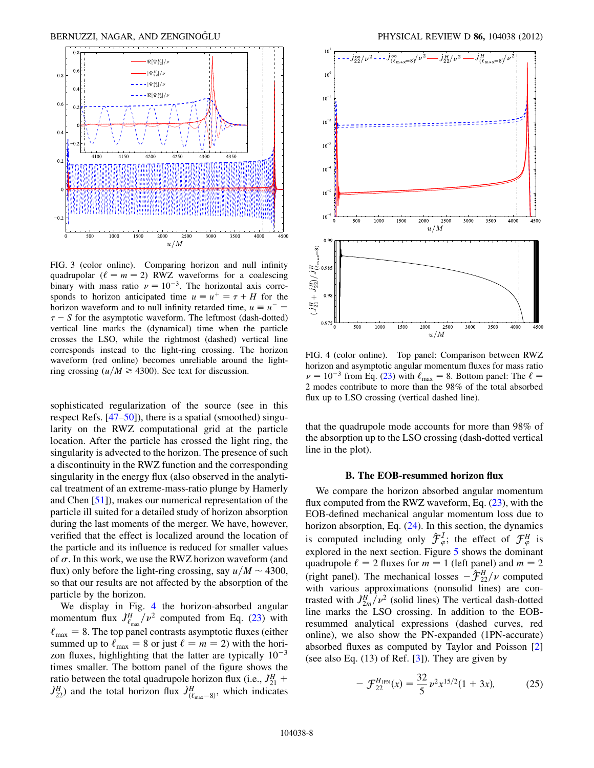<span id="page-7-0"></span>

FIG. 3 (color online). Comparing horizon and null infinity quadrupolar ( $\ell = m = 2$ ) RWZ waveforms for a coalescing binary with mass ratio  $\nu = 10^{-3}$ . The horizontal axis corresponds to horizon anticipated time  $u \equiv u^+ = \tau + H$  for the horizon waveform and to null infinity retarded time,  $u \equiv u^{-}$  $\tau$  – S for the asymptotic waveform. The leftmost (dash-dotted) vertical line marks the (dynamical) time when the particle crosses the LSO, while the rightmost (dashed) vertical line corresponds instead to the light-ring crossing. The horizon waveform (red online) becomes unreliable around the lightring crossing ( $u/M \ge 4300$ ). See text for discussion.

sophisticated regularization of the source (see in this respect Refs. [\[47–](#page-14-39)[50](#page-14-40)]), there is a spatial (smoothed) singularity on the RWZ computational grid at the particle location. After the particle has crossed the light ring, the singularity is advected to the horizon. The presence of such a discontinuity in the RWZ function and the corresponding singularity in the energy flux (also observed in the analytical treatment of an extreme-mass-ratio plunge by Hamerly and Chen [[51](#page-14-41)]), makes our numerical representation of the particle ill suited for a detailed study of horizon absorption during the last moments of the merger. We have, however, verified that the effect is localized around the location of the particle and its influence is reduced for smaller values of  $\sigma$ . In this work, we use the RWZ horizon waveform (and flux) only before the light-ring crossing, say  $u/M \sim 4300$ , so that our results are not affected by the absorption of the particle by the horizon.

We display in Fig. [4](#page-7-1) the horizon-absorbed angular momentum flux  $J_{\ell_{\text{max}}}^H/\nu^2$  computed from Eq. ([23\)](#page-6-3) with  $\ell_{\text{max}} = 8$ . The top panel contrasts asymptotic fluxes (either summed up to  $\ell_{\text{max}} = 8$  or just  $\ell = m = 2$ ) with the horizon fluxes, highlighting that the latter are typically  $10^{-3}$ times smaller. The bottom panel of the figure shows the ratio between the total quadrupole horizon flux (i.e.,  $\dot{J}_{21}^H$  + Figure 1 and the total horizon flux  $J_{(\ell_{\text{max}}=8)}^H$ , which indicates

<span id="page-7-1"></span>

FIG. 4 (color online). Top panel: Comparison between RWZ horizon and asymptotic angular momentum fluxes for mass ratio  $\nu = 10^{-3}$  from Eq. [\(23\)](#page-6-3) with  $\ell_{\text{max}} = 8$ . Bottom panel: The  $\ell =$ 2 modes contribute to more than the 98% of the total absorbed flux up to LSO crossing (vertical dashed line).

that the quadrupole mode accounts for more than 98% of the absorption up to the LSO crossing (dash-dotted vertical line in the plot).

#### B. The EOB-resummed horizon flux

We compare the horizon absorbed angular momentum flux computed from the RWZ waveform, Eq. [\(23\)](#page-6-3), with the EOB-defined mechanical angular momentum loss due to horizon absorption, Eq.  $(24)$ . In this section, the dynamics is computed including only  $\hat{\mathcal{F}}_{\varphi}^I$ ; the effect of  $\mathcal{F}_{\varphi}^H$  is explored in the next section. Figure [5](#page-8-1) shows the dominant quadrupole  $\ell = 2$  fluxes for  $m = 1$  (left panel) and  $m = 2$ (right panel). The mechanical losses  $-\hat{\mathcal{F}}_{22}^H/\nu$  computed<br>with various approximations (popsolid lines) are conwith various approximations (nonsolid lines) are contrasted with  $J_{2m}^{H} / \nu^2$  (solid lines) The vertical dash-dotted line marks the LSO crossing. In addition to the EOBresummed analytical expressions (dashed curves, red online), we also show the PN-expanded (1PN-accurate) absorbed fluxes as computed by Taylor and Poisson [\[2\]](#page-14-2) (see also Eq.  $(13)$  of Ref.  $[3]$  $[3]$ ). They are given by

<span id="page-7-2"></span>
$$
- \mathcal{F}_{22}^{H_{\rm 1PN}}(x) = \frac{32}{5} \nu^2 x^{15/2} (1+3x), \tag{25}
$$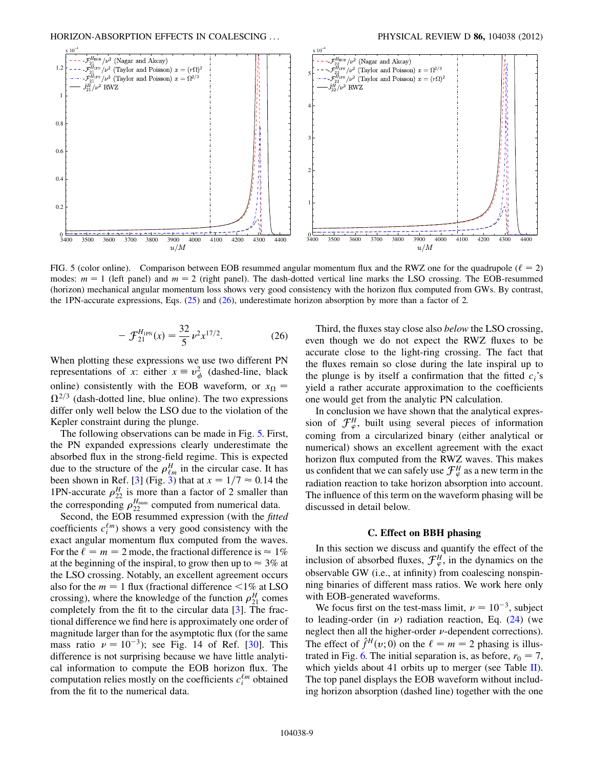<span id="page-8-1"></span>

FIG. 5 (color online). Comparison between EOB resummed angular momentum flux and the RWZ one for the quadrupole ( $\ell = 2$ ) modes:  $m = 1$  (left panel) and  $m = 2$  (right panel). The dash-dotted vertical line marks the LSO crossing. The EOB-resummed (horizon) mechanical angular momentum loss shows very good consistency with the horizon flux computed from GWs. By contrast, the 1PN-accurate expressions, Eqs. (25) and [\(26\)](#page-7-2), underestimate horizon absorption by more than a factor of 2.

$$
-\mathcal{F}_{21}^{H_{\rm 1PN}}(x) = \frac{32}{5} \nu^2 x^{17/2}.
$$
 (26)

When plotting these expressions we use two different PN representations of x: either  $x \equiv v_{\phi}^2$  (dashed-line, black online) consistently with the EOB waveform, or  $x_0 =$  $\Omega^{2/3}$  (dash-dotted line, blue online). The two expressions differ only well below the LSO due to the violation of the Kepler constraint during the plunge.

The following observations can be made in Fig. [5.](#page-8-1) First, the PN expanded expressions clearly underestimate the absorbed flux in the strong-field regime. This is expected due to the structure of the  $\rho_{\ell m}^H$  in the circular case. It has been shown in Ref. [[3](#page-7-0)] (Fig. 3) that at  $x = 1/7 \approx 0.14$  the 1PN-accurate  $a^H$  is more than a factor of 2 smaller than 1PN-accurate  $\rho_{22}^H$  is more than a factor of 2 smaller than the corresponding  $\rho_{22}^{H_{\text{num}}}$  computed from numerical data.

Second, the EOB resummed expression (with the fitted coefficients  $c_i^{\ell m}$ ) shows a very good consistency with the exact angular momentum flux computed from the waves. For the  $\ell = m = 2$  mode, the fractional difference is  $\approx 1\%$ <br>at the beginning of the inspiral to grow then up to  $\approx 3\%$  at at the beginning of the inspiral, to grow then up to  $\approx 3\%$  at the LSO crossing. Notably, an excellent agreement occurs the LSO crossing. Notably, an excellent agreement occurs also for the  $m = 1$  flux (fractional difference  $\leq 1\%$  at LSO crossing), where the knowledge of the function  $\rho_{21}^H$  comes completely from the fit to the circular data [[3\]](#page-14-1). The fractional difference we find here is approximately one order of magnitude larger than for the asymptotic flux (for the same mass ratio  $\nu = 10^{-3}$ ; see Fig. 14 of Ref. [\[30\]](#page-14-14). This difference is not surprising because we have little analytical information to compute the EOB horizon flux. The computation relies mostly on the coefficients  $c_i^{\ell m}$  obtained from the fit to the numerical data.

Third, the fluxes stay close also below the LSO crossing, even though we do not expect the RWZ fluxes to be accurate close to the light-ring crossing. The fact that the fluxes remain so close during the late inspiral up to the plunge is by itself a confirmation that the fitted  $c_i$ 's yield a rather accurate approximation to the coefficients one would get from the analytic PN calculation.

In conclusion we have shown that the analytical expression of  $\mathcal{F}_{\varphi}^{H}$ , built using several pieces of information coming from a circularized binary (either analytical or numerical) shows an excellent agreement with the exact horizon flux computed from the RWZ waves. This makes us confident that we can safely use  $\mathcal{F}_{\varphi}^{H}$  as a new term in the radiation reaction to take horizon absorption into account. The influence of this term on the waveform phasing will be discussed in detail below.

### C. Effect on BBH phasing

<span id="page-8-0"></span>In this section we discuss and quantify the effect of the inclusion of absorbed fluxes,  $\mathcal{F}_{\varphi}^{H}$ , in the dynamics on the observable GW (i.e., at infinity) from coalescing nonspinning binaries of different mass ratios. We work here only with EOB-generated waveforms.

We focus first on the test-mass limit,  $\nu = 10^{-3}$ , subject to leading-order (in  $\nu$ ) radiation reaction, Eq. ([24](#page-6-2)) (we neglect then all the higher-order  $\nu$ -dependent corrections). The effect of  $\hat{f}^H(v; 0)$  on the  $\ell = m = 2$  phasing is illus-trated in Fig. [6.](#page-9-0) The initial separation is, as before,  $r_0 = 7$ , which yields about 41 orbits up to merger (see Table [II\)](#page-10-0). The top panel displays the EOB waveform without including horizon absorption (dashed line) together with the one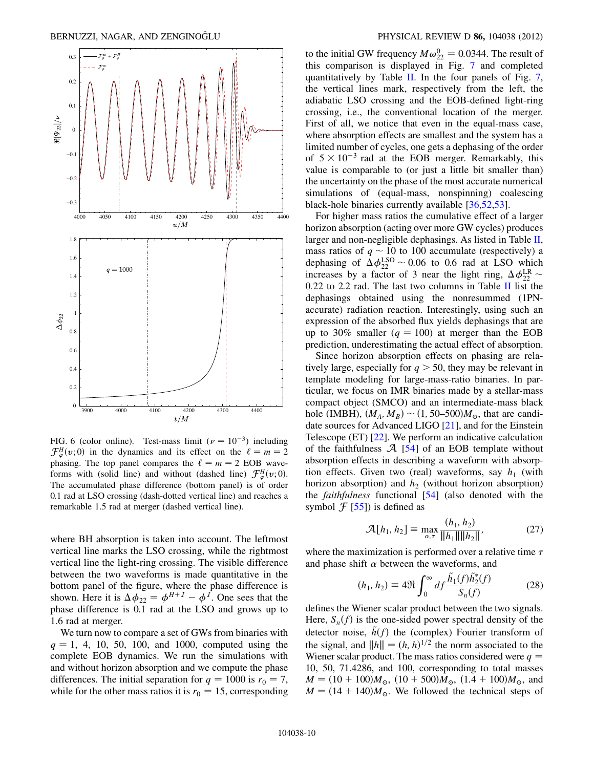<span id="page-9-0"></span>

FIG. 6 (color online). Test-mass limit ( $\nu = 10^{-3}$ ) including  $\mathcal{F}_{\varphi}^{H}(v;0)$  in the dynamics and its effect on the  $\ell = m = 2$ <br>phasing. The top panel compares the  $\ell = m = 2$  EOB wavephasing. The top panel compares the  $\ell = m = 2$  EOB waveforms with (solid line) and without (dashed line)  $\mathcal{F}_{\varphi}^{H}(v;0)$ .<br>The accumulated phase difference (bottom panel) is of order The accumulated phase difference (bottom panel) is of order 0.1 rad at LSO crossing (dash-dotted vertical line) and reaches a remarkable 1.5 rad at merger (dashed vertical line).

where BH absorption is taken into account. The leftmost vertical line marks the LSO crossing, while the rightmost vertical line the light-ring crossing. The visible difference between the two waveforms is made quantitative in the bottom panel of the figure, where the phase difference is shown. Here it is  $\Delta \phi_{22} = \phi^{H+1} - \phi^T$ . One sees that the nhase difference is 0.1 rad at the LSO and grows up to phase difference is 0.1 rad at the LSO and grows up to 1.6 rad at merger.

We turn now to compare a set of GWs from binaries with  $q = 1, 4, 10, 50, 100,$  and 1000, computed using the complete EOB dynamics. We run the simulations with and without horizon absorption and we compute the phase differences. The initial separation for  $q = 1000$  is  $r_0 = 7$ , while for the other mass ratios it is  $r_0 = 15$ , corresponding

to the initial GW frequency  $M\omega_{22}^0 = 0.0344$ . The result of this comparison is displayed in Fig. 7 and completed this comparison is displayed in Fig. [7](#page-10-1) and completed quantitatively by Table [II.](#page-10-0) In the four panels of Fig. [7](#page-10-1), the vertical lines mark, respectively from the left, the adiabatic LSO crossing and the EOB-defined light-ring crossing, i.e., the conventional location of the merger. First of all, we notice that even in the equal-mass case, where absorption effects are smallest and the system has a limited number of cycles, one gets a dephasing of the order of  $5 \times 10^{-3}$  rad at the EOB merger. Remarkably, this value is comparable to (or just a little bit smaller than) the uncertainty on the phase of the most accurate numerical simulations of (equal-mass, nonspinning) coalescing black-hole binaries currently available [[36](#page-14-42),[52](#page-14-43),[53](#page-14-44)].

For higher mass ratios the cumulative effect of a larger horizon absorption (acting over more GW cycles) produces larger and non-negligible dephasings. As listed in Table [II](#page-10-0), mass ratios of  $q \sim 10$  to 100 accumulate (respectively) a dephasing of  $\Delta \phi_{22}^{\text{LSO}} \sim 0.06$  to 0.6 rad at LSO which<br>increases by a factor of 3 near the light ring  $\Delta \phi_{LR}^{\text{LR}} \sim$ increases by a factor of 3 near the light ring,  $\Delta \phi_{22}^{\text{LR}}$  ~ 0.22 to 2.2 rad. The last two columns in Table [II](#page-10-0) list the dephasings obtained using the nonresummed (1PNaccurate) radiation reaction. Interestingly, using such an expression of the absorbed flux yields dephasings that are up to 30% smaller  $(q = 100)$  at merger than the EOB prediction, underestimating the actual effect of absorption.

Since horizon absorption effects on phasing are relatively large, especially for  $q > 50$ , they may be relevant in template modeling for large-mass-ratio binaries. In particular, we focus on IMR binaries made by a stellar-mass compact object (SMCO) and an intermediate-mass black hole (IMBH),  $(M_A, M_B) \sim (1, 50–500)M_{\odot}$ , that are candidate sources for Advanced LIGO [\[21](#page-14-11)], and for the Einstein Telescope (ET) [\[22\]](#page-14-45). We perform an indicative calculation of the faithfulness  $\mathcal{A}$  [[54](#page-14-46)] of an EOB template without absorption effects in describing a waveform with absorption effects. Given two (real) waveforms, say  $h_1$  (with horizon absorption) and  $h_2$  (without horizon absorption) the faithfulness functional [[54](#page-14-46)] (also denoted with the symbol  $\mathcal{F}$  [\[55](#page-15-0)]) is defined as

$$
\mathcal{A}[h_1, h_2] = \max_{\alpha, \tau} \frac{(h_1, h_2)}{\|h_1\| \|h_2\|},
$$
\n(27)

where the maximization is performed over a relative time  $\tau$ and phase shift  $\alpha$  between the waveforms, and

$$
(h_1, h_2) \equiv 4\Re \int_0^\infty df \frac{\tilde{h}_1(f)\tilde{h}_2^*(f)}{S_n(f)}
$$
(28)

defines the Wiener scalar product between the two signals. Here,  $S_n(f)$  is the one-sided power spectral density of the detector noise,  $\tilde{h}(f)$  the (complex) Fourier transform of the signal, and  $||h|| = (h, h)^{1/2}$  the norm associated to the Wiener scalar product. The mass ratios considered were  $a =$ Wiener scalar product. The mass ratios considered were  $q =$ 10, 50, 71.4286, and 100, corresponding to total masses  $M = (10 + 100)M_{\odot}$ ,  $(10 + 500)M_{\odot}$ ,  $(1.4 + 100)M_{\odot}$ , and  $M = (14 + 140)M_{\odot}$ . We followed the technical steps of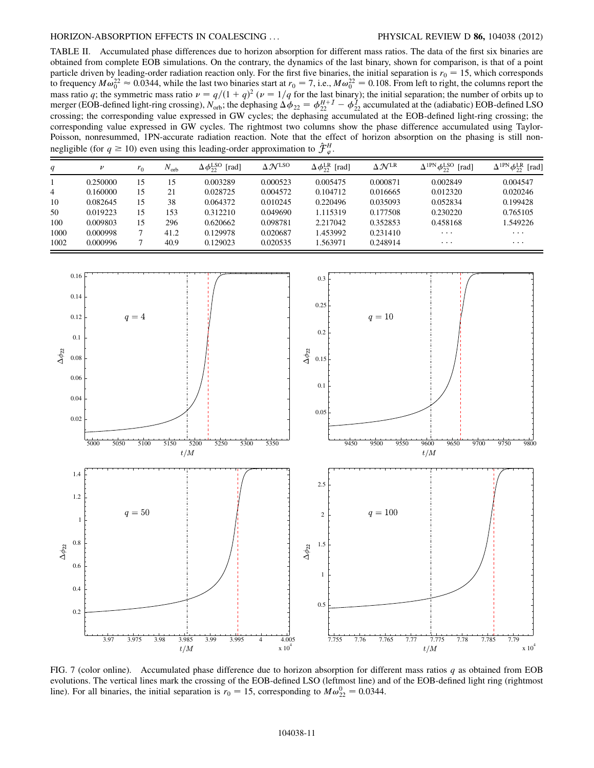#### HORIZON-ABSORPTION EFFECTS IN COALESCING ... PHYSICAL REVIEW D 86, 104038 (2012)

<span id="page-10-0"></span>TABLE II. Accumulated phase differences due to horizon absorption for different mass ratios. The data of the first six binaries are obtained from complete EOB simulations. On the contrary, the dynamics of the last binary, shown for comparison, is that of a point particle driven by leading-order radiation reaction only. For the first five binaries, the initial separation is  $r_0 = 15$ , which corresponds<br>to frequency  $M\omega_0^{22} \approx 0.0344$ , while the last two binaries start at  $r_0 = 7$ mass ratio q; the symmetric mass ratio  $\nu = q/(1 + q)^2$  ( $\nu = 1/q$  for the last binary); the initial separation; the number of orbits up to merger (FOR-defined light-ring crossing)  $N_{\nu}$ ; the dephasing  $\Delta d_{\Omega} = d_{\nu}^{H+1} - d_{$ merger (EOB-defined light-ring crossing),  $N_{\text{orb}}$ ; the dephasing  $\Delta \phi_{22} = \phi_{22}^{H+1} - \phi_{22}^T$  accumulated at the (adiabatic) EOB-defined LSO crossing; the corresponding value expressed in GW cycles; the dephasing accumulated at the EOB-defined light-ring crossing; the corresponding value expressed in GW cycles. The rightmost two columns show the phase difference accumulated using Taylor-Poisson, nonresummed, 1PN-accurate radiation reaction. Note that the effect of horizon absorption on the phasing is still nonnegligible (for  $q \ge 10$ ) even using this leading-order approximation to  $\hat{\mathcal{F}}_{\varphi}^H$ .

| q              | ν        | $r_0$ | $N_{\rm orb}$ | $\Delta \phi_{22}^{\text{LSO}}$<br>[rad] | $\Delta \mathcal{N}^{\text{LSO}}$ | $\Delta \phi_{22}^{\text{LR}}$ [rad] | $\Delta \mathcal{N}^{\text{LR}}$ | $\Delta^{1PN} \phi_{22}^{LSO}$<br>[rad] | $\Delta^{1PN} \phi_{22}^{LR}$ [rad] |
|----------------|----------|-------|---------------|------------------------------------------|-----------------------------------|--------------------------------------|----------------------------------|-----------------------------------------|-------------------------------------|
|                | 0.250000 | 15    | 15            | 0.003289                                 | 0.000523                          | 0.005475                             | 0.000871                         | 0.002849                                | 0.004547                            |
| $\overline{4}$ | 0.160000 | 15    | 21            | 0.028725                                 | 0.004572                          | 0.104712                             | 0.016665                         | 0.012320                                | 0.020246                            |
| 10             | 0.082645 | 15    | 38            | 0.064372                                 | 0.010245                          | 0.220496                             | 0.035093                         | 0.052834                                | 0.199428                            |
| 50             | 0.019223 | 15    | 153           | 0.312210                                 | 0.049690                          | 1.115319                             | 0.177508                         | 0.230220                                | 0.765105                            |
| 100            | 0.009803 | 15    | 296           | 0.620662                                 | 0.098781                          | 2.217042                             | 0.352853                         | 0.458168                                | 1.549226                            |
| 1000           | 0.000998 |       | 41.2          | 0.129978                                 | 0.020687                          | 1.453992                             | 0.231410                         | $\cdots$                                | $\cdots$                            |
| 1002           | 0.000996 |       | 40.9          | 0.129023                                 | 0.020535                          | .563971                              | 0.248914                         | $\cdots$                                | $\cdots$                            |

<span id="page-10-1"></span>

FIG. 7 (color online). Accumulated phase difference due to horizon absorption for different mass ratios q as obtained from EOB evolutions. The vertical lines mark the crossing of the EOB-defined LSO (leftmost line) and of the EOB-defined light ring (rightmost line). For all binaries, the initial separation is  $r_0 = 15$ , corresponding to  $M\omega_{22}^0 = 0.0344$ .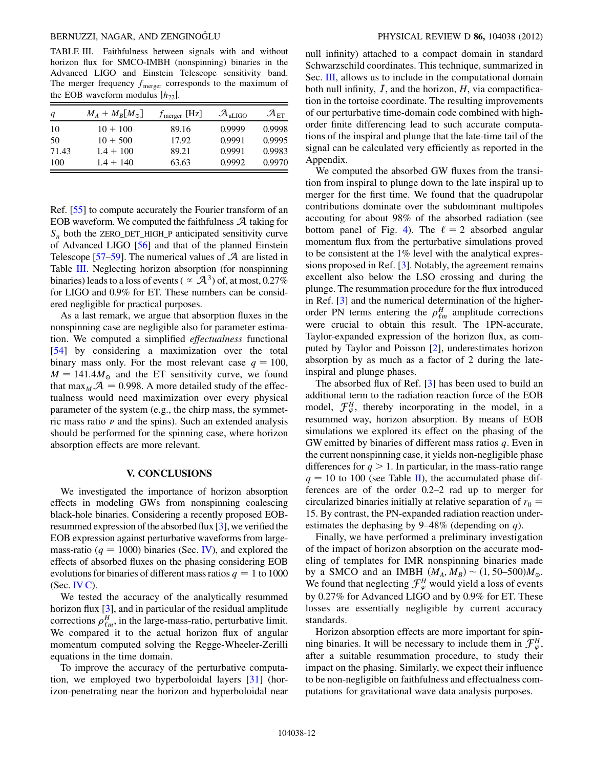<span id="page-11-1"></span>TABLE III. Faithfulness between signals with and without horizon flux for SMCO-IMBH (nonspinning) binaries in the Advanced LIGO and Einstein Telescope sensitivity band. The merger frequency  $f_{\text{merger}}$  corresponds to the maximum of the EOB waveform modulus  $|h_{22}|$ .

| q     | $M_A + M_R M_{\odot} $ | $f_{\text{merger}}$ [Hz] | $\mathcal{A}_{\text{aLIGO}}$ | $\mathcal{A}_{\texttt{FT}}$ |
|-------|------------------------|--------------------------|------------------------------|-----------------------------|
| 10    | $10 + 100$             | 89.16                    | 0.9999                       | 0.9998                      |
| 50    | $10 + 500$             | 17.92                    | 0.9991                       | 0.9995                      |
| 71.43 | $1.4 + 100$            | 89.21                    | 0.9991                       | 0.9983                      |
| 100   | $1.4 + 140$            | 63.63                    | 0.9992                       | 0.9970                      |

Ref. [\[55\]](#page-15-0) to compute accurately the Fourier transform of an EOB waveform. We computed the faithfulness  $A$  taking for  $S_n$  both the ZERO\_DET\_HIGH\_P anticipated sensitivity curve of Advanced LIGO [[56](#page-15-1)] and that of the planned Einstein Telescope [[57](#page-15-2)[–59](#page-15-3)]. The numerical values of  $A$  are listed in Table [III.](#page-11-1) Neglecting horizon absorption (for nonspinning binaries) leads to a loss of events ( $\propto$   $\mathcal{A}^3$ ) of, at most, 0.27% for LIGO and 0.9% for ET. These numbers can be considered negligible for practical purposes.

As a last remark, we argue that absorption fluxes in the nonspinning case are negligible also for parameter estimation. We computed a simplified effectualness functional [\[54\]](#page-14-46) by considering a maximization over the total binary mass only. For the most relevant case  $q = 100$ ,  $M = 141.4 M_{\odot}$  and the ET sensitivity curve, we found that max<sub>M</sub> $\mathcal{A} = 0.998$ . A more detailed study of the effectualness would need maximization over every physical parameter of the system (e.g., the chirp mass, the symmetric mass ratio  $\nu$  and the spins). Such an extended analysis should be performed for the spinning case, where horizon absorption effects are more relevant.

### V. CONCLUSIONS

<span id="page-11-0"></span>We investigated the importance of horizon absorption effects in modeling GWs from nonspinning coalescing black-hole binaries. Considering a recently proposed EOBresummed expression of the absorbed flux [[3\]](#page-14-1), we verified the EOB expression against perturbative waveforms from largemass-ratio ( $q = 1000$ ) binaries (Sec. [IV\)](#page-6-0), and explored the effects of absorbed fluxes on the phasing considering EOB evolutions for binaries of different mass ratios  $q = 1$  to 1000  $(Sec. IVC).$ 

We tested the accuracy of the analytically resummed horizon flux  $[3]$  $[3]$ , and in particular of the residual amplitude corrections  $\rho_{\ell m}^H$ , in the large-mass-ratio, perturbative limit. We compared it to the actual horizon flux of angular momentum computed solving the Regge-Wheeler-Zerilli equations in the time domain.

To improve the accuracy of the perturbative computation, we employed two hyperboloidal layers [\[31\]](#page-14-15) (horizon-penetrating near the horizon and hyperboloidal near null infinity) attached to a compact domain in standard Schwarzschild coordinates. This technique, summarized in Sec. [III](#page-4-0), allows us to include in the computational domain both null infinity,  $I$ , and the horizon,  $H$ , via compactification in the tortoise coordinate. The resulting improvements of our perturbative time-domain code combined with highorder finite differencing lead to such accurate computations of the inspiral and plunge that the late-time tail of the signal can be calculated very efficiently as reported in the Appendix.

We computed the absorbed GW fluxes from the transition from inspiral to plunge down to the late inspiral up to merger for the first time. We found that the quadrupolar contributions dominate over the subdominant multipoles accouting for about 98% of the absorbed radiation (see bottom panel of Fig. [4\)](#page-7-1). The  $\ell = 2$  absorbed angular momentum flux from the perturbative simulations proved to be consistent at the 1% level with the analytical expressions proposed in Ref. [[3\]](#page-14-1). Notably, the agreement remains excellent also below the LSO crossing and during the plunge. The resummation procedure for the flux introduced in Ref. [\[3\]](#page-14-1) and the numerical determination of the higherorder PN terms entering the  $\rho_{\ell m}^H$  amplitude corrections were crucial to obtain this result. The 1PN-accurate, Taylor-expanded expression of the horizon flux, as computed by Taylor and Poisson [\[2](#page-14-2)], underestimates horizon absorption by as much as a factor of 2 during the lateinspiral and plunge phases.

The absorbed flux of Ref. [[3](#page-14-1)] has been used to build an additional term to the radiation reaction force of the EOB model,  $\mathcal{F}_{\varphi}^H$ , thereby incorporating in the model, in a resummed way, horizon absorption. By means of EOB simulations we explored its effect on the phasing of the GW emitted by binaries of different mass ratios  $q$ . Even in the current nonspinning case, it yields non-negligible phase differences for  $q > 1$ . In particular, in the mass-ratio range  $q = 10$  to 100 (see Table [II\)](#page-10-0), the accumulated phase differences are of the order 0.2–2 rad up to merger for circularized binaries initially at relative separation of  $r_0$  = 15. By contrast, the PN-expanded radiation reaction underestimates the dephasing by  $9-48\%$  (depending on q).

Finally, we have performed a preliminary investigation of the impact of horizon absorption on the accurate modeling of templates for IMR nonspinning binaries made by a SMCO and an IMBH  $(M_A, M_B) \sim (1, 50-500) M_{\odot}$ . We found that neglecting  $\mathcal{F}_{\varphi}^H$  would yield a loss of events by 0.27% for Advanced LIGO and by 0.9% for ET. These losses are essentially negligible by current accuracy standards.

Horizon absorption effects are more important for spinning binaries. It will be necessary to include them in  $\mathcal{F}_{\varphi}^{H}$ , after a suitable resummation procedure, to study their impact on the phasing. Similarly, we expect their influence to be non-negligible on faithfulness and effectualness computations for gravitational wave data analysis purposes.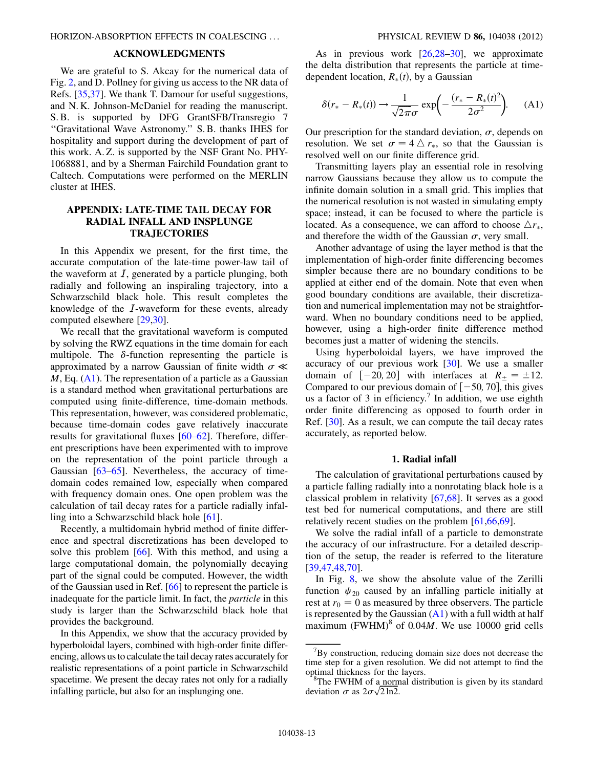### ACKNOWLEDGMENTS

We are grateful to S. Akcay for the numerical data of Fig. [2,](#page-6-1) and D. Pollney for giving us access to the NR data of Refs. [[35](#page-14-25),[37](#page-14-26)]. We thank T. Damour for useful suggestions, and N. K. Johnson-McDaniel for reading the manuscript. S. B. is supported by DFG GrantSFB/Transregio 7 ''Gravitational Wave Astronomy.'' S. B. thanks IHES for hospitality and support during the development of part of this work. A. Z. is supported by the NSF Grant No. PHY-1068881, and by a Sherman Fairchild Foundation grant to Caltech. Computations were performed on the MERLIN cluster at IHES.

## APPENDIX: LATE-TIME TAIL DECAY FOR RADIAL INFALL AND INSPLUNGE TRAJECTORIES

In this Appendix we present, for the first time, the accurate computation of the late-time power-law tail of the waveform at  $I$ , generated by a particle plunging, both radially and following an inspiraling trajectory, into a Schwarzschild black hole. This result completes the knowledge of the I-waveform for these events, already computed elsewhere [[29,](#page-14-24)[30](#page-14-14)].

We recall that the gravitational waveform is computed by solving the RWZ equations in the time domain for each multipole. The  $\delta$ -function representing the particle is approximated by a narrow Gaussian of finite width  $\sigma \ll$  $M$ , Eq. ([A1](#page-12-0)). The representation of a particle as a Gaussian is a standard method when gravitational perturbations are computed using finite-difference, time-domain methods. This representation, however, was considered problematic, because time-domain codes gave relatively inaccurate results for gravitational fluxes [\[60–](#page-15-4)[62](#page-15-5)]. Therefore, different prescriptions have been experimented with to improve on the representation of the point particle through a Gaussian [\[63–](#page-15-6)[65\]](#page-15-7). Nevertheless, the accuracy of timedomain codes remained low, especially when compared with frequency domain ones. One open problem was the calculation of tail decay rates for a particle radially infalling into a Schwarzschild black hole [[61](#page-15-8)].

Recently, a multidomain hybrid method of finite difference and spectral discretizations has been developed to solve this problem [\[66](#page-15-9)]. With this method, and using a large computational domain, the polynomially decaying part of the signal could be computed. However, the width of the Gaussian used in Ref. [[66](#page-15-9)] to represent the particle is inadequate for the particle limit. In fact, the particle in this study is larger than the Schwarzschild black hole that provides the background.

In this Appendix, we show that the accuracy provided by hyperboloidal layers, combined with high-order finite differencing, allows us to calculate the tail decay rates accurately for realistic representations of a point particle in Schwarzschild spacetime. We present the decay rates not only for a radially infalling particle, but also for an insplunging one.

As in previous work [\[26](#page-14-13)[,28–](#page-14-37)[30\]](#page-14-14), we approximate the delta distribution that represents the particle at timedependent location,  $R_*(t)$ , by a Gaussian

<span id="page-12-0"></span>
$$
\delta(r_* - R_*(t)) \to \frac{1}{\sqrt{2\pi}\sigma} \exp\left(-\frac{(r_* - R_*(t)^2)}{2\sigma^2}\right).
$$
 (A1)

Our prescription for the standard deviation,  $\sigma$ , depends on resolution. We set  $\sigma = 4 \triangle r_*$ , so that the Gaussian is resolved well on our finite difference grid.

Transmitting layers play an essential role in resolving narrow Gaussians because they allow us to compute the infinite domain solution in a small grid. This implies that the numerical resolution is not wasted in simulating empty space; instead, it can be focused to where the particle is located. As a consequence, we can afford to choose  $\Delta r_*$ , and therefore the width of the Gaussian  $\sigma$ , very small.

Another advantage of using the layer method is that the implementation of high-order finite differencing becomes simpler because there are no boundary conditions to be applied at either end of the domain. Note that even when good boundary conditions are available, their discretization and numerical implementation may not be straightforward. When no boundary conditions need to be applied, however, using a high-order finite difference method becomes just a matter of widening the stencils.

Using hyperboloidal layers, we have improved the accuracy of our previous work [\[30\]](#page-14-14). We use a smaller domain of  $[-20, 20]$  with interfaces at  $R_{\pm} = \pm 12$ . Compared to our previous domain of  $[-50, 70]$ , this gives us a factor of 3 in efficiency.<sup>7</sup> In addition, we use eighth order finite differencing as opposed to fourth order in Ref. [\[30\]](#page-14-14). As a result, we can compute the tail decay rates accurately, as reported below.

#### 1. Radial infall

The calculation of gravitational perturbations caused by a particle falling radially into a nonrotating black hole is a classical problem in relativity [[67](#page-15-10),[68](#page-15-11)]. It serves as a good test bed for numerical computations, and there are still relatively recent studies on the problem [\[61,](#page-15-8)[66,](#page-15-9)[69\]](#page-15-12).

We solve the radial infall of a particle to demonstrate the accuracy of our infrastructure. For a detailed description of the setup, the reader is referred to the literature [\[39](#page-14-29)[,47,](#page-14-39)[48](#page-14-47),[70](#page-15-13)].

In Fig. [8,](#page-13-0) we show the absolute value of the Zerilli function  $\psi_{20}$  caused by an infalling particle initially at rest at  $r_0 = 0$  as measured by three observers. The particle is represented by the Gaussian  $(A1)$  $(A1)$  $(A1)$  with a full width at half maximum (FWHM) $^8$  of 0.04*M*. We use 10000 grid cells

 $7By$  construction, reducing domain size does not decrease the time step for a given resolution. We did not attempt to find the optimal thickness for the layers.

<sup>&</sup>lt;sup>3</sup>The FWHM of a normal distribution is given by its standard deviation  $\sigma$  as  $2\sigma\sqrt{2 \ln 2}$ .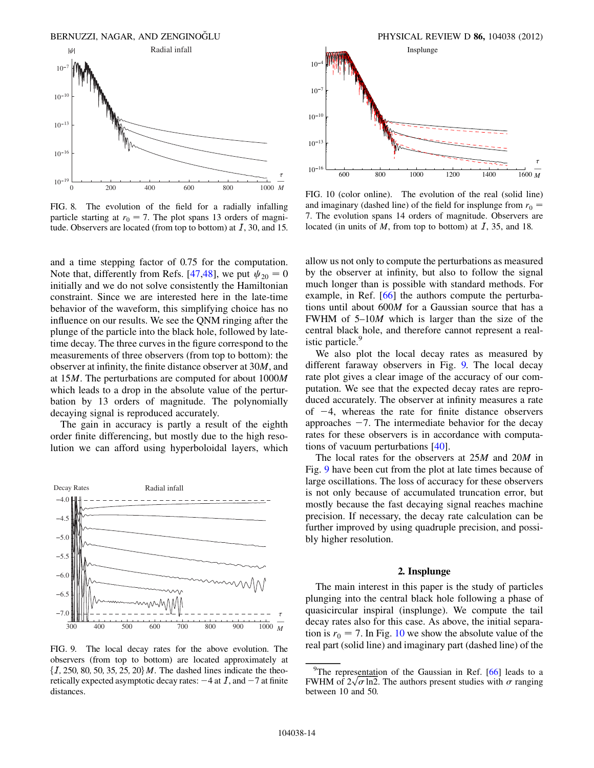<span id="page-13-0"></span>

FIG. 8. The evolution of the field for a radially infalling particle starting at  $r_0 = 7$ . The plot spans 13 orders of magnitude. Observers are located (from top to bottom) at  $I$ , 30, and 15.

and a time stepping factor of 0.75 for the computation. Note that, differently from Refs. [\[47,](#page-14-39)[48\]](#page-14-47), we put  $\psi_{20} = 0$ initially and we do not solve consistently the Hamiltonian constraint. Since we are interested here in the late-time behavior of the waveform, this simplifying choice has no influence on our results. We see the QNM ringing after the plunge of the particle into the black hole, followed by latetime decay. The three curves in the figure correspond to the measurements of three observers (from top to bottom): the observer at infinity, the finite distance observer at 30M, and at 15M. The perturbations are computed for about 1000M which leads to a drop in the absolute value of the perturbation by 13 orders of magnitude. The polynomially decaying signal is reproduced accurately.

The gain in accuracy is partly a result of the eighth order finite differencing, but mostly due to the high resolution we can afford using hyperboloidal layers, which

<span id="page-13-1"></span>

FIG. 9. The local decay rates for the above evolution. The observers (from top to bottom) are located approximately at  $\{I, 250, 80, 50, 35, 25, 20\}$  M. The dashed lines indicate the theoretically expected asymptotic decay rates:  $-4$  at  $I$ , and  $-7$  at finite distances.



<span id="page-13-2"></span>FIG. 10 (color online). The evolution of the real (solid line) and imaginary (dashed line) of the field for insplunge from  $r_0$  = 7. The evolution spans 14 orders of magnitude. Observers are located (in units of  $M$ , from top to bottom) at  $I$ , 35, and 18.

allow us not only to compute the perturbations as measured by the observer at infinity, but also to follow the signal much longer than is possible with standard methods. For example, in Ref. [[66](#page-15-9)] the authors compute the perturbations until about 600M for a Gaussian source that has a FWHM of 5–10M which is larger than the size of the central black hole, and therefore cannot represent a realistic particle.<sup>9</sup>

We also plot the local decay rates as measured by different faraway observers in Fig. [9.](#page-13-1) The local decay rate plot gives a clear image of the accuracy of our computation. We see that the expected decay rates are reproduced accurately. The observer at infinity measures a rate of  $-4$ , whereas the rate for finite distance observers approaches  $-7$ . The intermediate behavior for the decay rates for these observers is in accordance with computations of vacuum perturbations [[40](#page-14-30)].

The local rates for the observers at 25M and 20M in Fig. [9](#page-13-1) have been cut from the plot at late times because of large oscillations. The loss of accuracy for these observers is not only because of accumulated truncation error, but mostly because the fast decaying signal reaches machine precision. If necessary, the decay rate calculation can be further improved by using quadruple precision, and possibly higher resolution.

#### 2. Insplunge

The main interest in this paper is the study of particles plunging into the central black hole following a phase of quasicircular inspiral (insplunge). We compute the tail decay rates also for this case. As above, the initial separation is  $r_0 = 7$ . In Fig. [10](#page-13-2) we show the absolute value of the real part (solid line) and imaginary part (dashed line) of the

<sup>&</sup>lt;sup>9</sup>The representation of the Gaussian in Ref. [\[66\]](#page-15-9) leads to a FWHM of  $2\sqrt{\sigma \ln 2}$ . The authors present studies with  $\sigma$  ranging between 10 and 50.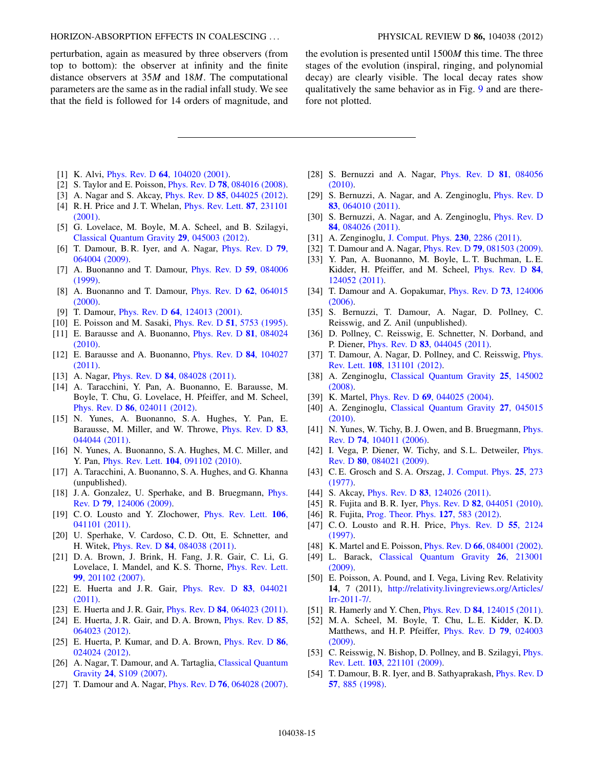perturbation, again as measured by three observers (from top to bottom): the observer at infinity and the finite distance observers at 35M and 18M. The computational parameters are the same as in the radial infall study. We see that the field is followed for 14 orders of magnitude, and the evolution is presented until 1500M this time. The three stages of the evolution (inspiral, ringing, and polynomial decay) are clearly visible. The local decay rates show qualitatively the same behavior as in Fig. [9](#page-13-1) and are therefore not plotted.

- <span id="page-14-2"></span><span id="page-14-0"></span>[1] K. Alvi, *Phys. Rev. D* **64**[, 104020 \(2001\)](http://dx.doi.org/10.1103/PhysRevD.64.104020).
- <span id="page-14-1"></span>[2] S. Taylor and E. Poisson, Phys. Rev. D 78[, 084016 \(2008\).](http://dx.doi.org/10.1103/PhysRevD.78.084016)
- [3] A. Nagar and S. Akcay, Phys. Rev. D 85[, 044025 \(2012\).](http://dx.doi.org/10.1103/PhysRevD.85.044025)
- <span id="page-14-3"></span>[4] R. H. Price and J. T. Whelan, *[Phys. Rev. Lett.](http://dx.doi.org/10.1103/PhysRevLett.87.231101)* **87**, 231101 [\(2001\)](http://dx.doi.org/10.1103/PhysRevLett.87.231101).
- <span id="page-14-4"></span>[5] G. Lovelace, M. Boyle, M. A. Scheel, and B. Szilagyi, [Classical Quantum Gravity](http://dx.doi.org/10.1088/0264-9381/29/4/045003) 29, 045003 (2012).
- <span id="page-14-5"></span>[6] T. Damour, B. R. Iyer, and A. Nagar, [Phys. Rev. D](http://dx.doi.org/10.1103/PhysRevD.79.064004) 79, [064004 \(2009\)](http://dx.doi.org/10.1103/PhysRevD.79.064004).
- <span id="page-14-6"></span>[7] A. Buonanno and T. Damour, [Phys. Rev. D](http://dx.doi.org/10.1103/PhysRevD.59.084006) 59, 084006 [\(1999\)](http://dx.doi.org/10.1103/PhysRevD.59.084006).
- <span id="page-14-38"></span>[8] A. Buonanno and T. Damour, *[Phys. Rev. D](http://dx.doi.org/10.1103/PhysRevD.62.064015)* 62, 064015  $(2000)$ .
- <span id="page-14-7"></span>[9] T. Damour, *Phys. Rev. D* **64**[, 124013 \(2001\).](http://dx.doi.org/10.1103/PhysRevD.64.124013)
- <span id="page-14-16"></span><span id="page-14-8"></span>[10] E. Poisson and M. Sasaki, *Phys. Rev. D* **51**[, 5753 \(1995\).](http://dx.doi.org/10.1103/PhysRevD.51.5753)
- [11] E. Barausse and A. Buonanno, *[Phys. Rev. D](http://dx.doi.org/10.1103/PhysRevD.81.084024)* **81**, 084024 [\(2010\)](http://dx.doi.org/10.1103/PhysRevD.81.084024).
- [12] E. Barausse and A. Buonanno, [Phys. Rev. D](http://dx.doi.org/10.1103/PhysRevD.84.104027) 84, 104027 [\(2011\)](http://dx.doi.org/10.1103/PhysRevD.84.104027).
- [13] A. Nagar, *Phys. Rev. D* **84**[, 084028 \(2011\)](http://dx.doi.org/10.1103/PhysRevD.84.084028).
- <span id="page-14-17"></span>[14] A. Taracchini, Y. Pan, A. Buonanno, E. Barausse, M. Boyle, T. Chu, G. Lovelace, H. Pfeiffer, and M. Scheel, Phys. Rev. D 86[, 024011 \(2012\).](http://dx.doi.org/10.1103/PhysRevD.86.024011)
- <span id="page-14-18"></span>[15] N. Yunes, A. Buonanno, S. A. Hughes, Y. Pan, E. Barausse, M. Miller, and W. Throwe, [Phys. Rev. D](http://dx.doi.org/10.1103/PhysRevD.83.044044) 83, [044044 \(2011\)](http://dx.doi.org/10.1103/PhysRevD.83.044044).
- <span id="page-14-19"></span>[16] N. Yunes, A. Buonanno, S.A. Hughes, M.C. Miller, and Y. Pan, Phys. Rev. Lett. 104[, 091102 \(2010\)](http://dx.doi.org/10.1103/PhysRevLett.104.091102).
- <span id="page-14-20"></span>[17] A. Taracchini, A. Buonanno, S. A. Hughes, and G. Khanna (unpublished).
- <span id="page-14-9"></span>[18] J.A. Gonzalez, U. Sperhake, and B. Bruegmann, *[Phys.](http://dx.doi.org/10.1103/PhysRevD.79.124006)* Rev. D 79[, 124006 \(2009\)](http://dx.doi.org/10.1103/PhysRevD.79.124006).
- [19] C.O. Lousto and Y. Zlochower, *[Phys. Rev. Lett.](http://dx.doi.org/10.1103/PhysRevLett.106.041101)* **106**, [041101 \(2011\)](http://dx.doi.org/10.1103/PhysRevLett.106.041101).
- <span id="page-14-10"></span>[20] U. Sperhake, V. Cardoso, C. D. Ott, E. Schnetter, and H. Witek, Phys. Rev. D 84[, 084038 \(2011\)](http://dx.doi.org/10.1103/PhysRevD.84.084038).
- <span id="page-14-11"></span>[21] D. A. Brown, J. Brink, H. Fang, J. R. Gair, C. Li, G. Lovelace, I. Mandel, and K. S. Thorne, [Phys. Rev. Lett.](http://dx.doi.org/10.1103/PhysRevLett.99.201102) 99[, 201102 \(2007\)](http://dx.doi.org/10.1103/PhysRevLett.99.201102).
- <span id="page-14-45"></span>[22] E. Huerta and J.R. Gair, *[Phys. Rev. D](http://dx.doi.org/10.1103/PhysRevD.83.044021) 83*, 044021 [\(2011\)](http://dx.doi.org/10.1103/PhysRevD.83.044021).
- [23] E. Huerta and J. R. Gair, *Phys. Rev. D* **84**[, 064023 \(2011\).](http://dx.doi.org/10.1103/PhysRevD.84.064023)
- [24] E. Huerta, J. R. Gair, and D. A. Brown, *[Phys. Rev. D](http://dx.doi.org/10.1103/PhysRevD.85.064023)* 85, [064023 \(2012\)](http://dx.doi.org/10.1103/PhysRevD.85.064023).
- <span id="page-14-12"></span>[25] E. Huerta, P. Kumar, and D. A. Brown, *[Phys. Rev. D](http://dx.doi.org/10.1103/PhysRevD.86.024024)* 86, [024024 \(2012\)](http://dx.doi.org/10.1103/PhysRevD.86.024024).
- <span id="page-14-13"></span>[26] A. Nagar, T. Damour, and A. Tartaglia, [Classical Quantum](http://dx.doi.org/10.1088/0264-9381/24/12/S08) Gravity 24[, S109 \(2007\)](http://dx.doi.org/10.1088/0264-9381/24/12/S08).
- <span id="page-14-27"></span>[27] T. Damour and A. Nagar, Phys. Rev. D 76[, 064028 \(2007\).](http://dx.doi.org/10.1103/PhysRevD.76.064028)
- <span id="page-14-37"></span>[28] S. Bernuzzi and A. Nagar, [Phys. Rev. D](http://dx.doi.org/10.1103/PhysRevD.81.084056) 81, 084056 [\(2010\)](http://dx.doi.org/10.1103/PhysRevD.81.084056).
- <span id="page-14-24"></span>[29] S. Bernuzzi, A. Nagar, and A. Zenginoglu, [Phys. Rev. D](http://dx.doi.org/10.1103/PhysRevD.83.064010) 83[, 064010 \(2011\)](http://dx.doi.org/10.1103/PhysRevD.83.064010).
- <span id="page-14-14"></span>[30] S. Bernuzzi, A. Nagar, and A. Zenginoglu, *[Phys. Rev. D](http://dx.doi.org/10.1103/PhysRevD.84.084026)* 84[, 084026 \(2011\)](http://dx.doi.org/10.1103/PhysRevD.84.084026).
- <span id="page-14-21"></span><span id="page-14-15"></span>[31] A. Zenginoglu, [J. Comput. Phys.](http://dx.doi.org/10.1016/j.jcp.2010.12.016) **230**, 2286 (2011).
- <span id="page-14-22"></span>[32] T. Damour and A. Nagar, *Phys. Rev. D* **79**[, 081503 \(2009\).](http://dx.doi.org/10.1103/PhysRevD.79.081503)
- [33] Y. Pan, A. Buonanno, M. Boyle, L. T. Buchman, L. E. Kidder, H. Pfeiffer, and M. Scheel, [Phys. Rev. D](http://dx.doi.org/10.1103/PhysRevD.84.124052) 84, [124052 \(2011\).](http://dx.doi.org/10.1103/PhysRevD.84.124052)
- <span id="page-14-23"></span>[34] T. Damour and A. Gopakumar, *[Phys. Rev. D](http://dx.doi.org/10.1103/PhysRevD.73.124006)* **73**, 124006 [\(2006\)](http://dx.doi.org/10.1103/PhysRevD.73.124006).
- <span id="page-14-25"></span>[35] S. Bernuzzi, T. Damour, A. Nagar, D. Pollney, C. Reisswig, and Z. Anil (unpublished).
- <span id="page-14-42"></span>[36] D. Pollney, C. Reisswig, E. Schnetter, N. Dorband, and P. Diener, Phys. Rev. D 83[, 044045 \(2011\)](http://dx.doi.org/10.1103/PhysRevD.83.044045).
- <span id="page-14-26"></span>[37] T. Damour, A. Nagar, D. Pollney, and C. Reisswig, *[Phys.](http://dx.doi.org/10.1103/PhysRevLett.108.131101)* Rev. Lett. 108[, 131101 \(2012\).](http://dx.doi.org/10.1103/PhysRevLett.108.131101)
- <span id="page-14-28"></span>[38] A. Zenginoglu, [Classical Quantum Gravity](http://dx.doi.org/10.1088/0264-9381/25/14/145002) 25, 145002 [\(2008\)](http://dx.doi.org/10.1088/0264-9381/25/14/145002).
- <span id="page-14-29"></span>[39] K. Martel, *Phys. Rev. D* **69**[, 044025 \(2004\).](http://dx.doi.org/10.1103/PhysRevD.69.044025)
- <span id="page-14-30"></span>[40] A. Zenginoglu, [Classical Quantum Gravity](http://dx.doi.org/10.1088/0264-9381/27/4/045015) 27, 045015 [\(2010\)](http://dx.doi.org/10.1088/0264-9381/27/4/045015).
- <span id="page-14-31"></span>[41] N. Yunes, W. Tichy, B. J. Owen, and B. Bruegmann, *[Phys.](http://dx.doi.org/10.1103/PhysRevD.74.104011)* Rev. D 74[, 104011 \(2006\)](http://dx.doi.org/10.1103/PhysRevD.74.104011).
- <span id="page-14-32"></span>[42] I. Vega, P. Diener, W. Tichy, and S.L. Detweiler, *[Phys.](http://dx.doi.org/10.1103/PhysRevD.80.084021)* Rev. D 80[, 084021 \(2009\)](http://dx.doi.org/10.1103/PhysRevD.80.084021).
- <span id="page-14-33"></span>[43] C. E. Grosch and S. A. Orszag, [J. Comput. Phys.](http://dx.doi.org/10.1016/0021-9991(77)90102-4) **25**, 273 [\(1977\)](http://dx.doi.org/10.1016/0021-9991(77)90102-4).
- <span id="page-14-35"></span><span id="page-14-34"></span>[44] S. Akcay, *Phys. Rev. D 83, 124026 (2011)*.
- <span id="page-14-36"></span>[45] R. Fujita and B. R. Iyer, *Phys. Rev. D* **82**[, 044051 \(2010\).](http://dx.doi.org/10.1103/PhysRevD.82.044051)
- <span id="page-14-39"></span>[46] R. Fujita, [Prog. Theor. Phys.](http://dx.doi.org/10.1143/PTP.127.583) **127**, 583 (2012).
- [47] C.O. Lousto and R.H. Price, *[Phys. Rev. D](http://dx.doi.org/10.1103/PhysRevD.55.2124)* 55, 2124 [\(1997\)](http://dx.doi.org/10.1103/PhysRevD.55.2124).
- <span id="page-14-47"></span>[48] K. Martel and E. Poisson, *Phys. Rev. D* **66**[, 084001 \(2002\).](http://dx.doi.org/10.1103/PhysRevD.66.084001)
- [49] L. Barack, [Classical Quantum Gravity](http://dx.doi.org/10.1088/0264-9381/26/21/213001) 26, 213001 [\(2009\)](http://dx.doi.org/10.1088/0264-9381/26/21/213001).
- <span id="page-14-40"></span>[50] E. Poisson, A. Pound, and I. Vega, Living Rev. Relativity 14, 7 (2011), [http://relativity.livingreviews.org/Articles/](http://relativity.livingreviews.org/Articles/lrr-2011-7/) [lrr-2011-7/](http://relativity.livingreviews.org/Articles/lrr-2011-7/).
- <span id="page-14-41"></span>[51] R. Hamerly and Y. Chen, *Phys. Rev. D* **84**[, 124015 \(2011\).](http://dx.doi.org/10.1103/PhysRevD.84.124015)
- <span id="page-14-43"></span>[52] M. A. Scheel, M. Boyle, T. Chu, L. E. Kidder, K. D. Matthews, and H.P. Pfeiffer, [Phys. Rev. D](http://dx.doi.org/10.1103/PhysRevD.79.024003) 79, 024003 [\(2009\)](http://dx.doi.org/10.1103/PhysRevD.79.024003).
- <span id="page-14-44"></span>[53] C. Reisswig, N. Bishop, D. Pollney, and B. Szilagyi, *[Phys.](http://dx.doi.org/10.1103/PhysRevLett.103.221101)* Rev. Lett. 103[, 221101 \(2009\).](http://dx.doi.org/10.1103/PhysRevLett.103.221101)
- <span id="page-14-46"></span>[54] T. Damour, B. R. Iyer, and B. Sathyaprakash, *[Phys. Rev. D](http://dx.doi.org/10.1103/PhysRevD.57.885).* 57[, 885 \(1998\)](http://dx.doi.org/10.1103/PhysRevD.57.885).